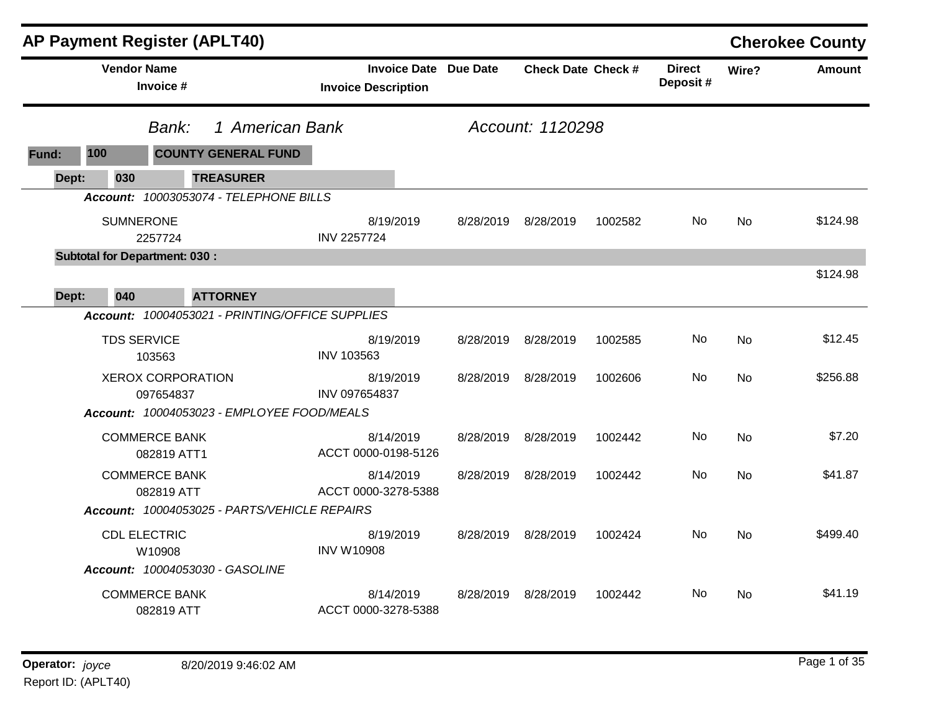|       |     | <b>AP Payment Register (APLT40)</b>   |                                                 |                            |           |                              |                           |         |                           |           | <b>Cherokee County</b> |
|-------|-----|---------------------------------------|-------------------------------------------------|----------------------------|-----------|------------------------------|---------------------------|---------|---------------------------|-----------|------------------------|
|       |     | <b>Vendor Name</b><br>Invoice #       |                                                 | <b>Invoice Description</b> |           | <b>Invoice Date Due Date</b> | <b>Check Date Check #</b> |         | <b>Direct</b><br>Deposit# | Wire?     | <b>Amount</b>          |
|       |     | Bank:                                 | 1 American Bank                                 |                            |           |                              | Account: 1120298          |         |                           |           |                        |
| Fund: | 100 |                                       | <b>COUNTY GENERAL FUND</b>                      |                            |           |                              |                           |         |                           |           |                        |
| Dept: | 030 |                                       | <b>TREASURER</b>                                |                            |           |                              |                           |         |                           |           |                        |
|       |     |                                       | Account: 10003053074 - TELEPHONE BILLS          |                            |           |                              |                           |         |                           |           |                        |
|       |     | <b>SUMNERONE</b><br>2257724           |                                                 | <b>INV 2257724</b>         | 8/19/2019 | 8/28/2019                    | 8/28/2019                 | 1002582 | No.                       | No        | \$124.98               |
|       |     | <b>Subtotal for Department: 030:</b>  |                                                 |                            |           |                              |                           |         |                           |           |                        |
| Dept: | 040 |                                       | <b>ATTORNEY</b>                                 |                            |           |                              |                           |         |                           |           | \$124.98               |
|       |     |                                       | Account: 10004053021 - PRINTING/OFFICE SUPPLIES |                            |           |                              |                           |         |                           |           |                        |
|       |     | <b>TDS SERVICE</b><br>103563          |                                                 | <b>INV 103563</b>          | 8/19/2019 | 8/28/2019                    | 8/28/2019                 | 1002585 | No                        | <b>No</b> | \$12.45                |
|       |     | <b>XEROX CORPORATION</b><br>097654837 |                                                 | INV 097654837              | 8/19/2019 | 8/28/2019                    | 8/28/2019                 | 1002606 | No.                       | No.       | \$256.88               |
|       |     |                                       | Account: 10004053023 - EMPLOYEE FOOD/MEALS      |                            |           |                              |                           |         |                           |           |                        |
|       |     | <b>COMMERCE BANK</b><br>082819 ATT1   |                                                 | ACCT 0000-0198-5126        | 8/14/2019 | 8/28/2019                    | 8/28/2019                 | 1002442 | No.                       | <b>No</b> | \$7.20                 |
|       |     | <b>COMMERCE BANK</b><br>082819 ATT    |                                                 | ACCT 0000-3278-5388        | 8/14/2019 | 8/28/2019                    | 8/28/2019                 | 1002442 | No.                       | <b>No</b> | \$41.87                |
|       |     |                                       | Account: 10004053025 - PARTS/VEHICLE REPAIRS    |                            |           |                              |                           |         |                           |           |                        |
|       |     | <b>CDL ELECTRIC</b><br>W10908         |                                                 | <b>INV W10908</b>          | 8/19/2019 | 8/28/2019                    | 8/28/2019                 | 1002424 | No.                       | <b>No</b> | \$499.40               |
|       |     | Account: 10004053030 - GASOLINE       |                                                 |                            |           |                              |                           |         |                           |           |                        |
|       |     | <b>COMMERCE BANK</b><br>082819 ATT    |                                                 | ACCT 0000-3278-5388        | 8/14/2019 | 8/28/2019                    | 8/28/2019                 | 1002442 | No.                       | No        | \$41.19                |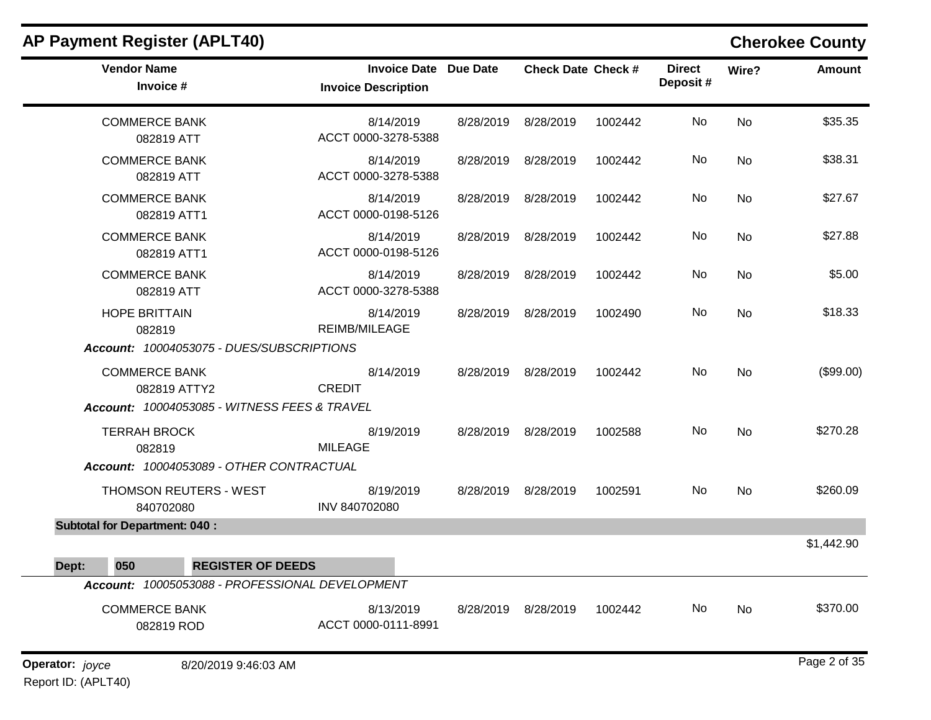| <b>Vendor Name</b><br>Invoice #                                                      | <b>Invoice Date Due Date</b><br><b>Invoice Description</b> |           | <b>Check Date Check #</b> |         | <b>Direct</b><br>Deposit# | Wire?     | <b>Amount</b> |
|--------------------------------------------------------------------------------------|------------------------------------------------------------|-----------|---------------------------|---------|---------------------------|-----------|---------------|
| <b>COMMERCE BANK</b><br>082819 ATT                                                   | 8/14/2019<br>ACCT 0000-3278-5388                           | 8/28/2019 | 8/28/2019                 | 1002442 | No                        | <b>No</b> | \$35.35       |
| <b>COMMERCE BANK</b><br>082819 ATT                                                   | 8/14/2019<br>ACCT 0000-3278-5388                           | 8/28/2019 | 8/28/2019                 | 1002442 | No                        | <b>No</b> | \$38.31       |
| <b>COMMERCE BANK</b><br>082819 ATT1                                                  | 8/14/2019<br>ACCT 0000-0198-5126                           | 8/28/2019 | 8/28/2019                 | 1002442 | No                        | <b>No</b> | \$27.67       |
| <b>COMMERCE BANK</b><br>082819 ATT1                                                  | 8/14/2019<br>ACCT 0000-0198-5126                           | 8/28/2019 | 8/28/2019                 | 1002442 | No                        | <b>No</b> | \$27.88       |
| <b>COMMERCE BANK</b><br>082819 ATT                                                   | 8/14/2019<br>ACCT 0000-3278-5388                           | 8/28/2019 | 8/28/2019                 | 1002442 | No.                       | No        | \$5.00        |
| <b>HOPE BRITTAIN</b><br>082819<br>Account: 10004053075 - DUES/SUBSCRIPTIONS          | 8/14/2019<br>REIMB/MILEAGE                                 | 8/28/2019 | 8/28/2019                 | 1002490 | No                        | <b>No</b> | \$18.33       |
| <b>COMMERCE BANK</b><br>082819 ATTY2<br>Account: 10004053085 - WITNESS FEES & TRAVEL | 8/14/2019<br><b>CREDIT</b>                                 | 8/28/2019 | 8/28/2019                 | 1002442 | <b>No</b>                 | <b>No</b> | (\$99.00)     |
| <b>TERRAH BROCK</b><br>082819<br>Account: 10004053089 - OTHER CONTRACTUAL            | 8/19/2019<br><b>MILEAGE</b>                                | 8/28/2019 | 8/28/2019                 | 1002588 | No                        | <b>No</b> | \$270.28      |
| <b>THOMSON REUTERS - WEST</b><br>840702080                                           | 8/19/2019<br>INV 840702080                                 |           | 8/28/2019 8/28/2019       | 1002591 | No.                       | <b>No</b> | \$260.09      |
| <b>Subtotal for Department: 040:</b>                                                 |                                                            |           |                           |         |                           |           |               |
| Dept:<br>050<br><b>REGISTER OF DEEDS</b>                                             |                                                            |           |                           |         |                           |           | \$1,442.90    |
| Account: 10005053088 - PROFESSIONAL DEVELOPMENT                                      |                                                            |           |                           |         |                           |           |               |
| <b>COMMERCE BANK</b><br>082819 ROD                                                   | 8/13/2019<br>ACCT 0000-0111-8991                           | 8/28/2019 | 8/28/2019                 | 1002442 | <b>No</b>                 | No        | \$370.00      |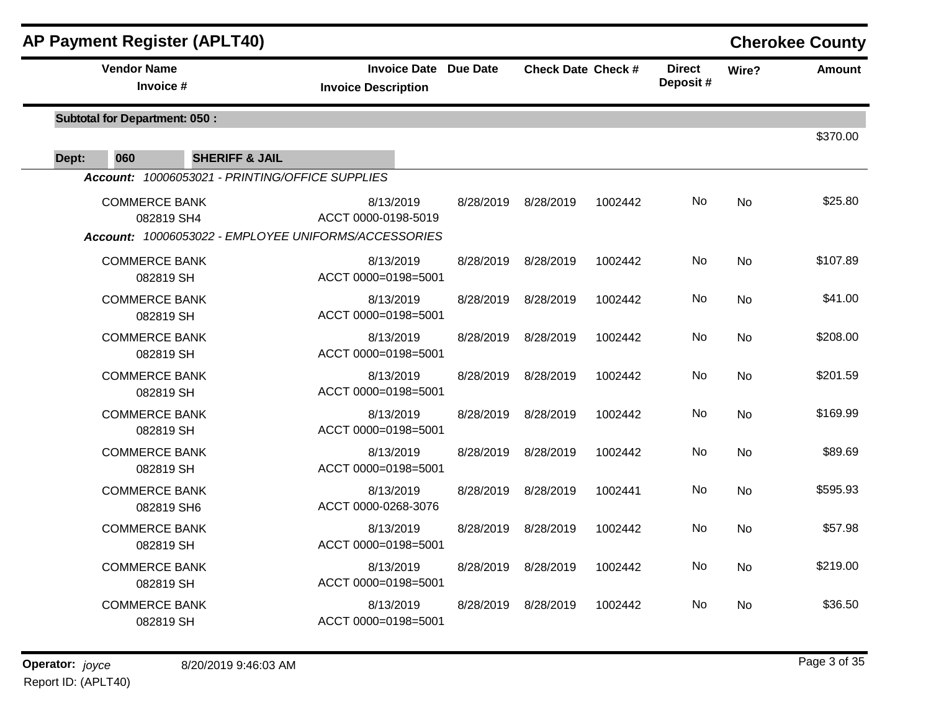| <b>AP Payment Register (APLT40)</b>                  |                                                   |           |                           |         |                           |           | <b>Cherokee County</b> |
|------------------------------------------------------|---------------------------------------------------|-----------|---------------------------|---------|---------------------------|-----------|------------------------|
| <b>Vendor Name</b><br>Invoice #                      | <b>Invoice Date</b><br><b>Invoice Description</b> | Due Date  | <b>Check Date Check #</b> |         | <b>Direct</b><br>Deposit# | Wire?     | <b>Amount</b>          |
| <b>Subtotal for Department: 050:</b>                 |                                                   |           |                           |         |                           |           | \$370.00               |
| 060<br><b>SHERIFF &amp; JAIL</b><br>Dept:            |                                                   |           |                           |         |                           |           |                        |
| Account: 10006053021 - PRINTING/OFFICE SUPPLIES      |                                                   |           |                           |         |                           |           |                        |
| <b>COMMERCE BANK</b><br>082819 SH4                   | 8/13/2019<br>ACCT 0000-0198-5019                  | 8/28/2019 | 8/28/2019                 | 1002442 | No                        | <b>No</b> | \$25.80                |
| Account: 10006053022 - EMPLOYEE UNIFORMS/ACCESSORIES |                                                   |           |                           |         |                           |           |                        |
| <b>COMMERCE BANK</b><br>082819 SH                    | 8/13/2019<br>ACCT 0000=0198=5001                  | 8/28/2019 | 8/28/2019                 | 1002442 | No                        | <b>No</b> | \$107.89               |
| <b>COMMERCE BANK</b><br>082819 SH                    | 8/13/2019<br>ACCT 0000=0198=5001                  | 8/28/2019 | 8/28/2019                 | 1002442 | No                        | No        | \$41.00                |
| <b>COMMERCE BANK</b><br>082819 SH                    | 8/13/2019<br>ACCT 0000=0198=5001                  | 8/28/2019 | 8/28/2019                 | 1002442 | No                        | No        | \$208.00               |
| <b>COMMERCE BANK</b><br>082819 SH                    | 8/13/2019<br>ACCT 0000=0198=5001                  | 8/28/2019 | 8/28/2019                 | 1002442 | No                        | <b>No</b> | \$201.59               |
| <b>COMMERCE BANK</b><br>082819 SH                    | 8/13/2019<br>ACCT 0000=0198=5001                  | 8/28/2019 | 8/28/2019                 | 1002442 | No                        | <b>No</b> | \$169.99               |
| <b>COMMERCE BANK</b><br>082819 SH                    | 8/13/2019<br>ACCT 0000=0198=5001                  | 8/28/2019 | 8/28/2019                 | 1002442 | No                        | No        | \$89.69                |
| <b>COMMERCE BANK</b><br>082819 SH6                   | 8/13/2019<br>ACCT 0000-0268-3076                  | 8/28/2019 | 8/28/2019                 | 1002441 | No                        | <b>No</b> | \$595.93               |
| <b>COMMERCE BANK</b><br>082819 SH                    | 8/13/2019<br>ACCT 0000=0198=5001                  | 8/28/2019 | 8/28/2019                 | 1002442 | No                        | No        | \$57.98                |
| <b>COMMERCE BANK</b><br>082819 SH                    | 8/13/2019<br>ACCT 0000=0198=5001                  | 8/28/2019 | 8/28/2019                 | 1002442 | No                        | <b>No</b> | \$219.00               |
| <b>COMMERCE BANK</b><br>082819 SH                    | 8/13/2019<br>ACCT 0000=0198=5001                  | 8/28/2019 | 8/28/2019                 | 1002442 | No                        | No        | \$36.50                |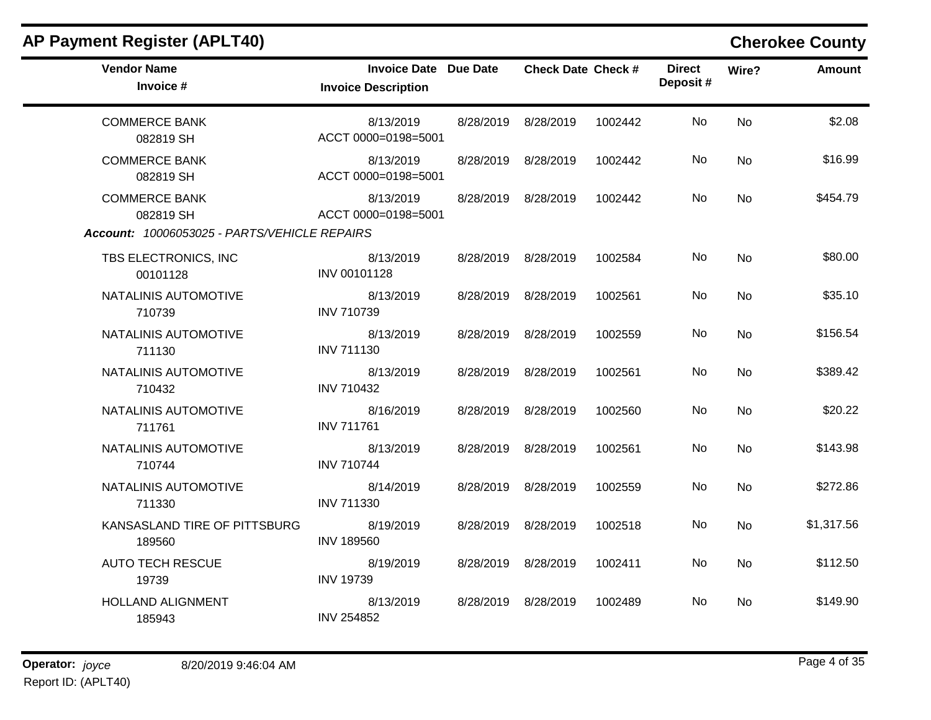| <b>AP Payment Register (APLT40)</b>          |                                                            |                           |         |                           |           | <b>Cherokee County</b> |
|----------------------------------------------|------------------------------------------------------------|---------------------------|---------|---------------------------|-----------|------------------------|
| <b>Vendor Name</b><br>Invoice #              | <b>Invoice Date Due Date</b><br><b>Invoice Description</b> | <b>Check Date Check #</b> |         | <b>Direct</b><br>Deposit# | Wire?     | <b>Amount</b>          |
| <b>COMMERCE BANK</b><br>082819 SH            | 8/13/2019<br>ACCT 0000=0198=5001                           | 8/28/2019 8/28/2019       | 1002442 | No.                       | <b>No</b> | \$2.08                 |
| <b>COMMERCE BANK</b><br>082819 SH            | 8/13/2019<br>ACCT 0000=0198=5001                           | 8/28/2019 8/28/2019       | 1002442 | No.                       | <b>No</b> | \$16.99                |
| <b>COMMERCE BANK</b><br>082819 SH            | 8/13/2019<br>ACCT 0000=0198=5001                           | 8/28/2019 8/28/2019       | 1002442 | No                        | No        | \$454.79               |
| Account: 10006053025 - PARTS/VEHICLE REPAIRS |                                                            |                           |         |                           |           |                        |
| TBS ELECTRONICS, INC<br>00101128             | 8/13/2019<br>INV 00101128                                  | 8/28/2019 8/28/2019       | 1002584 | No.                       | <b>No</b> | \$80.00                |
| NATALINIS AUTOMOTIVE<br>710739               | 8/13/2019<br><b>INV 710739</b>                             | 8/28/2019 8/28/2019       | 1002561 | No                        | <b>No</b> | \$35.10                |
| NATALINIS AUTOMOTIVE<br>711130               | 8/13/2019<br><b>INV 711130</b>                             | 8/28/2019 8/28/2019       | 1002559 | No                        | <b>No</b> | \$156.54               |
| NATALINIS AUTOMOTIVE<br>710432               | 8/13/2019<br><b>INV 710432</b>                             | 8/28/2019 8/28/2019       | 1002561 | No.                       | <b>No</b> | \$389.42               |
| NATALINIS AUTOMOTIVE<br>711761               | 8/16/2019<br><b>INV 711761</b>                             | 8/28/2019 8/28/2019       | 1002560 | No.                       | <b>No</b> | \$20.22                |
| NATALINIS AUTOMOTIVE<br>710744               | 8/13/2019<br><b>INV 710744</b>                             | 8/28/2019 8/28/2019       | 1002561 | No.                       | No        | \$143.98               |
| NATALINIS AUTOMOTIVE<br>711330               | 8/14/2019<br><b>INV 711330</b>                             | 8/28/2019 8/28/2019       | 1002559 | No                        | No        | \$272.86               |
| KANSASLAND TIRE OF PITTSBURG<br>189560       | 8/19/2019<br><b>INV 189560</b>                             | 8/28/2019 8/28/2019       | 1002518 | No.                       | No        | \$1,317.56             |
| <b>AUTO TECH RESCUE</b><br>19739             | 8/19/2019<br><b>INV 19739</b>                              | 8/28/2019 8/28/2019       | 1002411 | No.                       | No.       | \$112.50               |
| <b>HOLLAND ALIGNMENT</b><br>185943           | 8/13/2019<br><b>INV 254852</b>                             | 8/28/2019 8/28/2019       | 1002489 | No.                       | No.       | \$149.90               |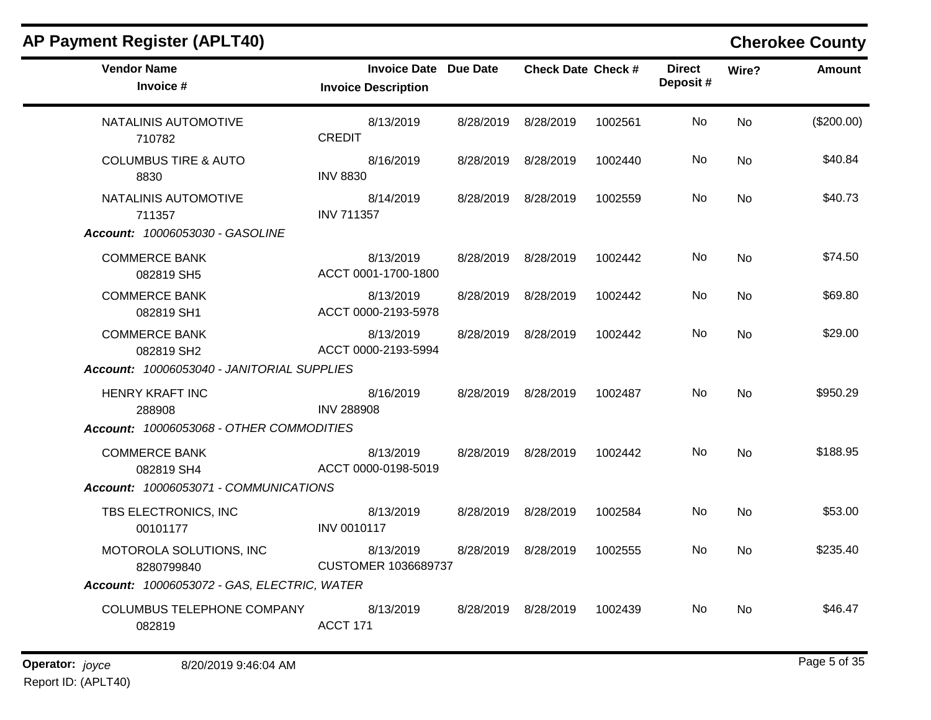| <b>AP Payment Register (APLT40)</b>                                                  |                                                     |                           |         |                           |                | <b>Cherokee County</b> |
|--------------------------------------------------------------------------------------|-----------------------------------------------------|---------------------------|---------|---------------------------|----------------|------------------------|
| <b>Vendor Name</b><br>Invoice #                                                      | Invoice Date Due Date<br><b>Invoice Description</b> | <b>Check Date Check #</b> |         | <b>Direct</b><br>Deposit# | Wire?          | <b>Amount</b>          |
| NATALINIS AUTOMOTIVE<br>710782                                                       | 8/13/2019<br><b>CREDIT</b>                          | 8/28/2019 8/28/2019       | 1002561 | No                        | <b>No</b>      | (\$200.00)             |
| <b>COLUMBUS TIRE &amp; AUTO</b><br>8830                                              | 8/16/2019<br><b>INV 8830</b>                        | 8/28/2019 8/28/2019       | 1002440 | No.                       | No             | \$40.84                |
| NATALINIS AUTOMOTIVE<br>711357<br>Account: 10006053030 - GASOLINE                    | 8/14/2019<br><b>INV 711357</b>                      | 8/28/2019 8/28/2019       | 1002559 | No                        | No             | \$40.73                |
| <b>COMMERCE BANK</b><br>082819 SH5                                                   | 8/13/2019<br>ACCT 0001-1700-1800                    | 8/28/2019 8/28/2019       | 1002442 | No.                       | <b>No</b>      | \$74.50                |
| <b>COMMERCE BANK</b><br>082819 SH1                                                   | 8/13/2019<br>ACCT 0000-2193-5978                    | 8/28/2019 8/28/2019       | 1002442 | No.                       | <b>No</b>      | \$69.80                |
| <b>COMMERCE BANK</b><br>082819 SH2<br>Account: 10006053040 - JANITORIAL SUPPLIES     | 8/13/2019<br>ACCT 0000-2193-5994                    | 8/28/2019 8/28/2019       | 1002442 | No.                       | <b>No</b>      | \$29.00                |
| <b>HENRY KRAFT INC</b><br>288908<br>Account: 10006053068 - OTHER COMMODITIES         | 8/16/2019<br><b>INV 288908</b>                      | 8/28/2019 8/28/2019       | 1002487 | No                        | <b>No</b>      | \$950.29               |
| <b>COMMERCE BANK</b><br>082819 SH4<br>Account: 10006053071 - COMMUNICATIONS          | 8/13/2019<br>ACCT 0000-0198-5019                    | 8/28/2019 8/28/2019       | 1002442 | No.                       | N <sub>o</sub> | \$188.95               |
| TBS ELECTRONICS, INC<br>00101177                                                     | 8/13/2019<br>INV 0010117                            | 8/28/2019 8/28/2019       | 1002584 | No                        | <b>No</b>      | \$53.00                |
| MOTOROLA SOLUTIONS, INC<br>8280799840<br>Account: 10006053072 - GAS, ELECTRIC, WATER | 8/13/2019<br><b>CUSTOMER 1036689737</b>             | 8/28/2019 8/28/2019       | 1002555 | No.                       | <b>No</b>      | \$235.40               |
| COLUMBUS TELEPHONE COMPANY<br>082819                                                 | 8/13/2019<br>ACCT 171                               | 8/28/2019 8/28/2019       | 1002439 | No.                       | No             | \$46.47                |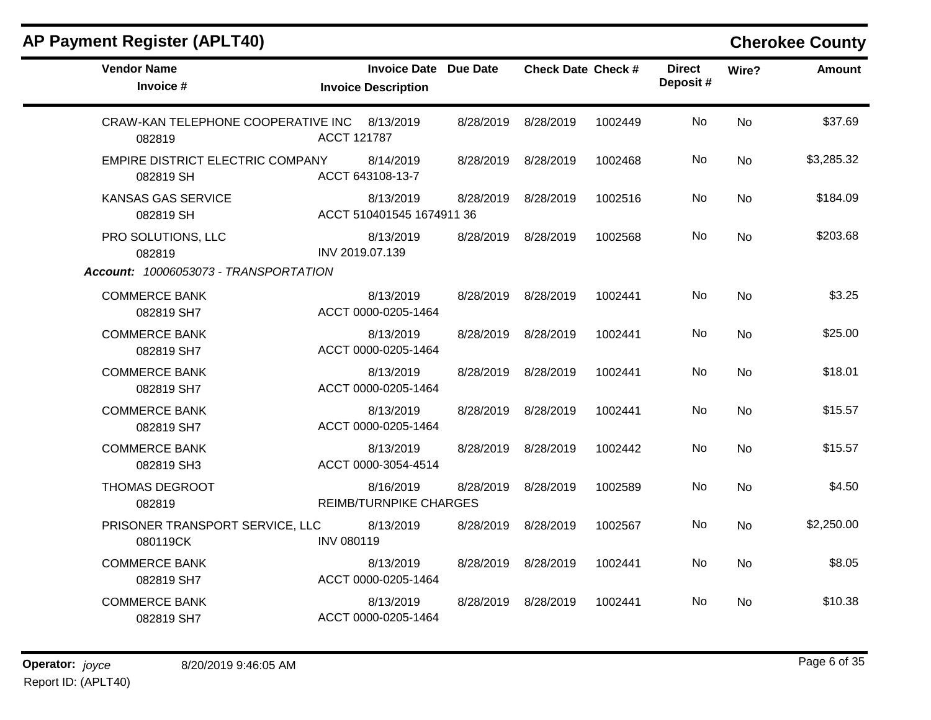| <b>Vendor Name</b><br>Invoice #                        | <b>Invoice Date Due Date</b><br><b>Invoice Description</b> |           | <b>Check Date Check #</b> |         | <b>Direct</b><br>Deposit# | Wire?     | <b>Amount</b> |
|--------------------------------------------------------|------------------------------------------------------------|-----------|---------------------------|---------|---------------------------|-----------|---------------|
| CRAW-KAN TELEPHONE COOPERATIVE INC 8/13/2019<br>082819 | ACCT 121787                                                | 8/28/2019 | 8/28/2019                 | 1002449 | No                        | No        | \$37.69       |
| EMPIRE DISTRICT ELECTRIC COMPANY<br>082819 SH          | 8/14/2019<br>ACCT 643108-13-7                              | 8/28/2019 | 8/28/2019                 | 1002468 | No                        | <b>No</b> | \$3,285.32    |
| <b>KANSAS GAS SERVICE</b><br>082819 SH                 | 8/13/2019<br>ACCT 510401545 1674911 36                     | 8/28/2019 | 8/28/2019                 | 1002516 | No                        | <b>No</b> | \$184.09      |
| PRO SOLUTIONS, LLC<br>082819                           | 8/13/2019<br>INV 2019.07.139                               | 8/28/2019 | 8/28/2019                 | 1002568 | No                        | No        | \$203.68      |
| Account: 10006053073 - TRANSPORTATION                  |                                                            |           |                           |         |                           |           |               |
| <b>COMMERCE BANK</b><br>082819 SH7                     | 8/13/2019<br>ACCT 0000-0205-1464                           | 8/28/2019 | 8/28/2019                 | 1002441 | No                        | <b>No</b> | \$3.25        |
| <b>COMMERCE BANK</b><br>082819 SH7                     | 8/13/2019<br>ACCT 0000-0205-1464                           | 8/28/2019 | 8/28/2019                 | 1002441 | No                        | <b>No</b> | \$25.00       |
| <b>COMMERCE BANK</b><br>082819 SH7                     | 8/13/2019<br>ACCT 0000-0205-1464                           | 8/28/2019 | 8/28/2019                 | 1002441 | No                        | <b>No</b> | \$18.01       |
| <b>COMMERCE BANK</b><br>082819 SH7                     | 8/13/2019<br>ACCT 0000-0205-1464                           | 8/28/2019 | 8/28/2019                 | 1002441 | No                        | <b>No</b> | \$15.57       |
| <b>COMMERCE BANK</b><br>082819 SH3                     | 8/13/2019<br>ACCT 0000-3054-4514                           | 8/28/2019 | 8/28/2019                 | 1002442 | No                        | No        | \$15.57       |
| THOMAS DEGROOT<br>082819                               | 8/16/2019<br><b>REIMB/TURNPIKE CHARGES</b>                 | 8/28/2019 | 8/28/2019                 | 1002589 | No                        | No        | \$4.50        |
| PRISONER TRANSPORT SERVICE, LLC<br>080119CK            | 8/13/2019<br><b>INV 080119</b>                             | 8/28/2019 | 8/28/2019                 | 1002567 | No                        | <b>No</b> | \$2,250.00    |
| <b>COMMERCE BANK</b><br>082819 SH7                     | 8/13/2019<br>ACCT 0000-0205-1464                           | 8/28/2019 | 8/28/2019                 | 1002441 | No                        | <b>No</b> | \$8.05        |
| <b>COMMERCE BANK</b><br>082819 SH7                     | 8/13/2019<br>ACCT 0000-0205-1464                           | 8/28/2019 | 8/28/2019                 | 1002441 | No.                       | No        | \$10.38       |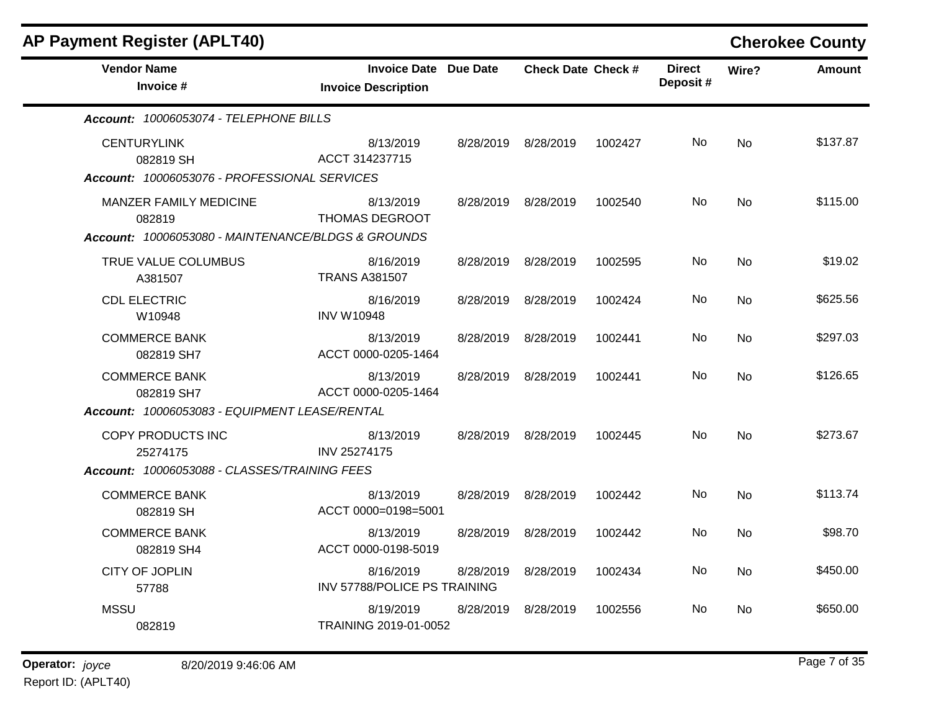| <b>AP Payment Register (APLT40)</b>                                                           |                                                            |           |                           |         |                           |           | <b>Cherokee County</b> |
|-----------------------------------------------------------------------------------------------|------------------------------------------------------------|-----------|---------------------------|---------|---------------------------|-----------|------------------------|
| <b>Vendor Name</b><br>Invoice #                                                               | <b>Invoice Date Due Date</b><br><b>Invoice Description</b> |           | <b>Check Date Check #</b> |         | <b>Direct</b><br>Deposit# | Wire?     | <b>Amount</b>          |
| Account: 10006053074 - TELEPHONE BILLS                                                        |                                                            |           |                           |         |                           |           |                        |
| <b>CENTURYLINK</b><br>082819 SH<br>Account: 10006053076 - PROFESSIONAL SERVICES               | 8/13/2019<br>ACCT 314237715                                |           | 8/28/2019 8/28/2019       | 1002427 | No                        | <b>No</b> | \$137.87               |
| <b>MANZER FAMILY MEDICINE</b><br>082819<br>Account: 10006053080 - MAINTENANCE/BLDGS & GROUNDS | 8/13/2019<br><b>THOMAS DEGROOT</b>                         |           | 8/28/2019 8/28/2019       | 1002540 | No                        | <b>No</b> | \$115.00               |
| TRUE VALUE COLUMBUS<br>A381507                                                                | 8/16/2019<br><b>TRANS A381507</b>                          |           | 8/28/2019 8/28/2019       | 1002595 | No                        | <b>No</b> | \$19.02                |
| <b>CDL ELECTRIC</b><br>W10948                                                                 | 8/16/2019<br><b>INV W10948</b>                             | 8/28/2019 | 8/28/2019                 | 1002424 | No.                       | <b>No</b> | \$625.56               |
| <b>COMMERCE BANK</b><br>082819 SH7                                                            | 8/13/2019<br>ACCT 0000-0205-1464                           |           | 8/28/2019 8/28/2019       | 1002441 | No.                       | No        | \$297.03               |
| <b>COMMERCE BANK</b><br>082819 SH7                                                            | 8/13/2019<br>ACCT 0000-0205-1464                           | 8/28/2019 | 8/28/2019                 | 1002441 | No                        | No        | \$126.65               |
| Account: 10006053083 - EQUIPMENT LEASE/RENTAL                                                 |                                                            |           |                           |         |                           |           |                        |
| COPY PRODUCTS INC<br>25274175                                                                 | 8/13/2019<br><b>INV 25274175</b>                           |           | 8/28/2019 8/28/2019       | 1002445 | No.                       | <b>No</b> | \$273.67               |
| Account: 10006053088 - CLASSES/TRAINING FEES                                                  |                                                            |           |                           |         |                           |           |                        |
| <b>COMMERCE BANK</b><br>082819 SH                                                             | 8/13/2019<br>ACCT 0000=0198=5001                           |           | 8/28/2019 8/28/2019       | 1002442 | No                        | <b>No</b> | \$113.74               |
| <b>COMMERCE BANK</b><br>082819 SH4                                                            | 8/13/2019<br>ACCT 0000-0198-5019                           |           | 8/28/2019 8/28/2019       | 1002442 | No.                       | No        | \$98.70                |
| CITY OF JOPLIN<br>57788                                                                       | 8/16/2019<br>INV 57788/POLICE PS TRAINING                  | 8/28/2019 | 8/28/2019                 | 1002434 | No.                       | No        | \$450.00               |
| <b>MSSU</b><br>082819                                                                         | 8/19/2019<br>TRAINING 2019-01-0052                         |           | 8/28/2019 8/28/2019       | 1002556 | No.                       | <b>No</b> | \$650.00               |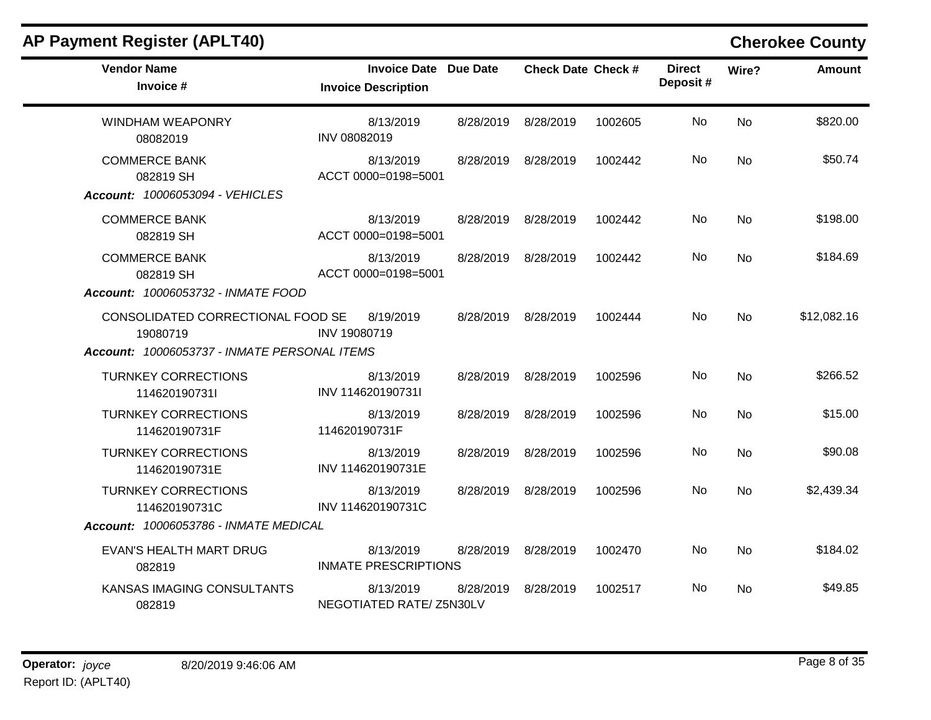| <b>AP Payment Register (APLT40)</b>                                                           |                                                            |           |                           |         |                           |           | <b>Cherokee County</b> |
|-----------------------------------------------------------------------------------------------|------------------------------------------------------------|-----------|---------------------------|---------|---------------------------|-----------|------------------------|
| <b>Vendor Name</b><br>Invoice #                                                               | <b>Invoice Date Due Date</b><br><b>Invoice Description</b> |           | <b>Check Date Check #</b> |         | <b>Direct</b><br>Deposit# | Wire?     | <b>Amount</b>          |
| <b>WINDHAM WEAPONRY</b><br>08082019                                                           | 8/13/2019<br>INV 08082019                                  | 8/28/2019 | 8/28/2019                 | 1002605 | No                        | <b>No</b> | \$820.00               |
| <b>COMMERCE BANK</b><br>082819 SH<br>Account: 10006053094 - VEHICLES                          | 8/13/2019<br>ACCT 0000=0198=5001                           | 8/28/2019 | 8/28/2019                 | 1002442 | No                        | <b>No</b> | \$50.74                |
| <b>COMMERCE BANK</b><br>082819 SH                                                             | 8/13/2019<br>ACCT 0000=0198=5001                           | 8/28/2019 | 8/28/2019                 | 1002442 | No                        | <b>No</b> | \$198.00               |
| <b>COMMERCE BANK</b><br>082819 SH<br>Account: 10006053732 - INMATE FOOD                       | 8/13/2019<br>ACCT 0000=0198=5001                           | 8/28/2019 | 8/28/2019                 | 1002442 | No.                       | <b>No</b> | \$184.69               |
| CONSOLIDATED CORRECTIONAL FOOD SE<br>19080719<br>Account: 10006053737 - INMATE PERSONAL ITEMS | 8/19/2019<br>INV 19080719                                  | 8/28/2019 | 8/28/2019                 | 1002444 | No                        | <b>No</b> | \$12,082.16            |
| <b>TURNKEY CORRECTIONS</b><br>114620190731l                                                   | 8/13/2019<br>INV 114620190731I                             | 8/28/2019 | 8/28/2019                 | 1002596 | No                        | <b>No</b> | \$266.52               |
| <b>TURNKEY CORRECTIONS</b><br>114620190731F                                                   | 8/13/2019<br>114620190731F                                 | 8/28/2019 | 8/28/2019                 | 1002596 | No                        | <b>No</b> | \$15.00                |
| <b>TURNKEY CORRECTIONS</b><br>114620190731E                                                   | 8/13/2019<br>INV 114620190731E                             | 8/28/2019 | 8/28/2019                 | 1002596 | No                        | <b>No</b> | \$90.08                |
| <b>TURNKEY CORRECTIONS</b><br>114620190731C                                                   | 8/13/2019<br>INV 114620190731C                             | 8/28/2019 | 8/28/2019                 | 1002596 | No                        | <b>No</b> | \$2,439.34             |
| Account: 10006053786 - INMATE MEDICAL                                                         |                                                            |           |                           |         |                           |           |                        |
| EVAN'S HEALTH MART DRUG<br>082819                                                             | 8/13/2019<br><b>INMATE PRESCRIPTIONS</b>                   | 8/28/2019 | 8/28/2019                 | 1002470 | No                        | <b>No</b> | \$184.02               |
| KANSAS IMAGING CONSULTANTS<br>082819                                                          | 8/13/2019<br>NEGOTIATED RATE/ Z5N30LV                      | 8/28/2019 | 8/28/2019                 | 1002517 | No                        | No.       | \$49.85                |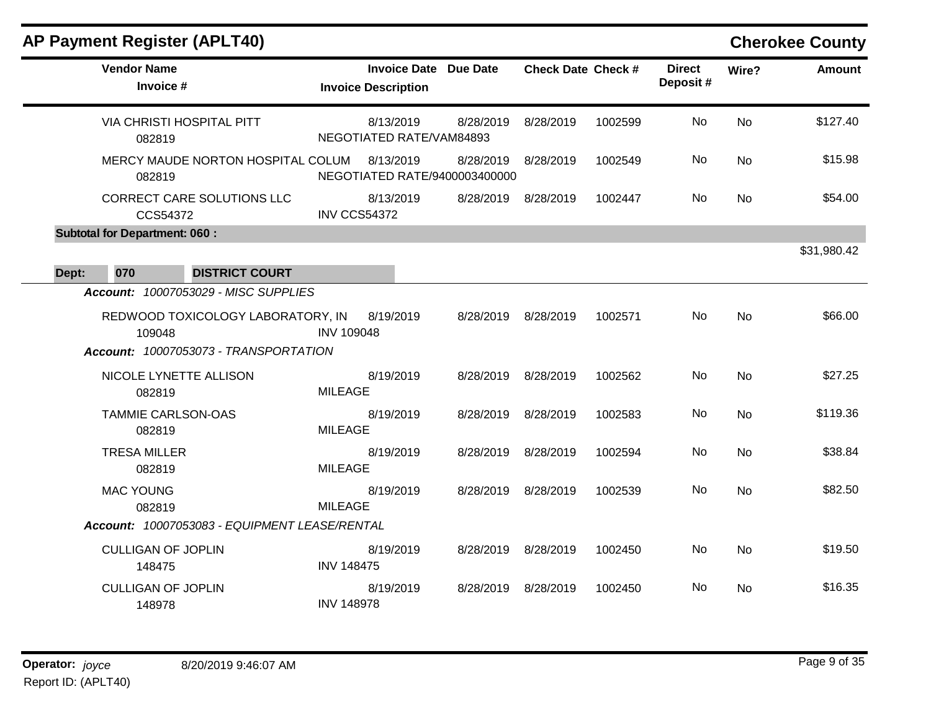|       | <b>AP Payment Register (APLT40)</b>                                                  |                                                            |                     |                           |         |                           |           | <b>Cherokee County</b> |
|-------|--------------------------------------------------------------------------------------|------------------------------------------------------------|---------------------|---------------------------|---------|---------------------------|-----------|------------------------|
|       | <b>Vendor Name</b><br>Invoice #                                                      | <b>Invoice Date Due Date</b><br><b>Invoice Description</b> |                     | <b>Check Date Check #</b> |         | <b>Direct</b><br>Deposit# | Wire?     | <b>Amount</b>          |
|       | <b>VIA CHRISTI HOSPITAL PITT</b><br>082819                                           | 8/13/2019<br>NEGOTIATED RATE/VAM84893                      | 8/28/2019           | 8/28/2019                 | 1002599 | No                        | <b>No</b> | \$127.40               |
|       | MERCY MAUDE NORTON HOSPITAL COLUM<br>082819                                          | 8/13/2019<br>NEGOTIATED RATE/9400003400000                 | 8/28/2019           | 8/28/2019                 | 1002549 | No                        | <b>No</b> | \$15.98                |
|       | CORRECT CARE SOLUTIONS LLC<br>CCS54372                                               | 8/13/2019<br><b>INV CCS54372</b>                           | 8/28/2019           | 8/28/2019                 | 1002447 | No.                       | <b>No</b> | \$54.00                |
|       | <b>Subtotal for Department: 060:</b>                                                 |                                                            |                     |                           |         |                           |           |                        |
| Dept: | 070<br><b>DISTRICT COURT</b>                                                         |                                                            |                     |                           |         |                           |           | \$31,980.42            |
|       | Account: 10007053029 - MISC SUPPLIES                                                 |                                                            |                     |                           |         |                           |           |                        |
|       | REDWOOD TOXICOLOGY LABORATORY, IN<br>109048<br>Account: 10007053073 - TRANSPORTATION | 8/19/2019<br><b>INV 109048</b>                             | 8/28/2019           | 8/28/2019                 | 1002571 | No                        | <b>No</b> | \$66.00                |
|       | NICOLE LYNETTE ALLISON<br>082819                                                     | 8/19/2019<br><b>MILEAGE</b>                                | 8/28/2019           | 8/28/2019                 | 1002562 | No                        | <b>No</b> | \$27.25                |
|       | <b>TAMMIE CARLSON-OAS</b><br>082819                                                  | 8/19/2019<br><b>MILEAGE</b>                                | 8/28/2019           | 8/28/2019                 | 1002583 | No                        | <b>No</b> | \$119.36               |
|       | <b>TRESA MILLER</b><br>082819                                                        | 8/19/2019<br><b>MILEAGE</b>                                | 8/28/2019           | 8/28/2019                 | 1002594 | No                        | <b>No</b> | \$38.84                |
|       | <b>MAC YOUNG</b><br>082819                                                           | 8/19/2019<br><b>MILEAGE</b>                                | 8/28/2019           | 8/28/2019                 | 1002539 | No                        | <b>No</b> | \$82.50                |
|       | Account: 10007053083 - EQUIPMENT LEASE/RENTAL                                        |                                                            |                     |                           |         |                           |           |                        |
|       | <b>CULLIGAN OF JOPLIN</b><br>148475                                                  | 8/19/2019<br><b>INV 148475</b>                             | 8/28/2019 8/28/2019 |                           | 1002450 | No                        | No        | \$19.50                |
|       | <b>CULLIGAN OF JOPLIN</b><br>148978                                                  | 8/19/2019<br><b>INV 148978</b>                             | 8/28/2019 8/28/2019 |                           | 1002450 | No.                       | No        | \$16.35                |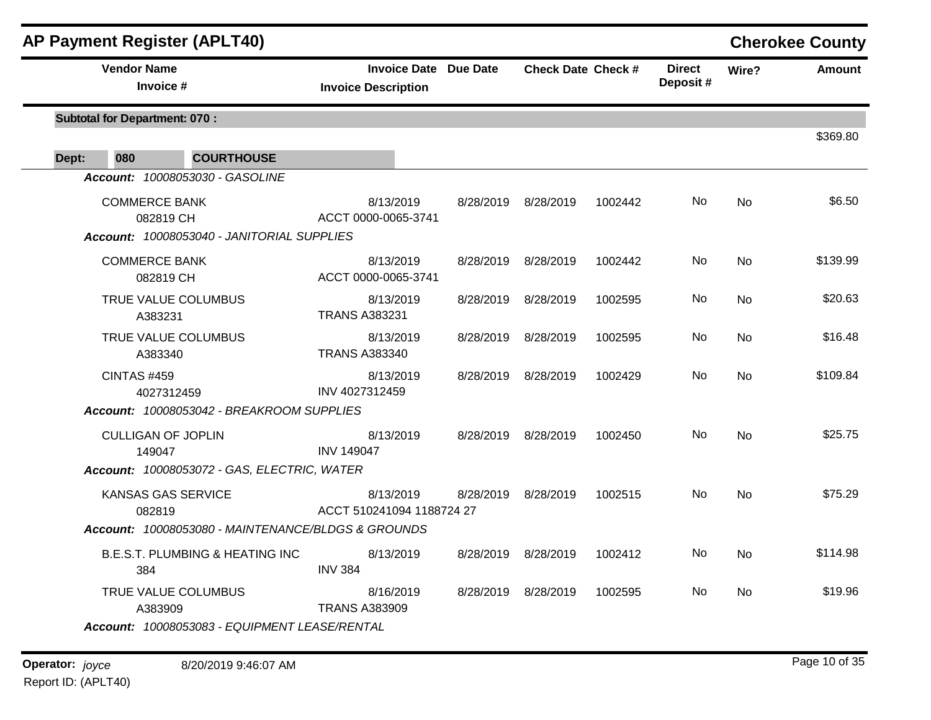| <b>AP Payment Register (APLT40)</b>                |                                                            |           |                           |         |                           |           | <b>Cherokee County</b> |
|----------------------------------------------------|------------------------------------------------------------|-----------|---------------------------|---------|---------------------------|-----------|------------------------|
| <b>Vendor Name</b><br>Invoice #                    | <b>Invoice Date Due Date</b><br><b>Invoice Description</b> |           | <b>Check Date Check #</b> |         | <b>Direct</b><br>Deposit# | Wire?     | <b>Amount</b>          |
| <b>Subtotal for Department: 070:</b>               |                                                            |           |                           |         |                           |           |                        |
| 080<br><b>COURTHOUSE</b><br>Dept:                  |                                                            |           |                           |         |                           |           | \$369.80               |
| Account: 10008053030 - GASOLINE                    |                                                            |           |                           |         |                           |           |                        |
| <b>COMMERCE BANK</b><br>082819 CH                  | 8/13/2019<br>ACCT 0000-0065-3741                           |           | 8/28/2019 8/28/2019       | 1002442 | No                        | No        | \$6.50                 |
| Account: 10008053040 - JANITORIAL SUPPLIES         |                                                            |           |                           |         |                           |           |                        |
| <b>COMMERCE BANK</b><br>082819 CH                  | 8/13/2019<br>ACCT 0000-0065-3741                           |           | 8/28/2019 8/28/2019       | 1002442 | No.                       | No        | \$139.99               |
| TRUE VALUE COLUMBUS<br>A383231                     | 8/13/2019<br><b>TRANS A383231</b>                          |           | 8/28/2019 8/28/2019       | 1002595 | No.                       | No        | \$20.63                |
| TRUE VALUE COLUMBUS<br>A383340                     | 8/13/2019<br><b>TRANS A383340</b>                          |           | 8/28/2019 8/28/2019       | 1002595 | No                        | No        | \$16.48                |
| <b>CINTAS #459</b><br>4027312459                   | 8/13/2019<br>INV 4027312459                                | 8/28/2019 | 8/28/2019                 | 1002429 | No                        | <b>No</b> | \$109.84               |
| Account: 10008053042 - BREAKROOM SUPPLIES          |                                                            |           |                           |         |                           |           |                        |
| <b>CULLIGAN OF JOPLIN</b><br>149047                | 8/13/2019<br><b>INV 149047</b>                             |           | 8/28/2019 8/28/2019       | 1002450 | No.                       | <b>No</b> | \$25.75                |
| Account: 10008053072 - GAS, ELECTRIC, WATER        |                                                            |           |                           |         |                           |           |                        |
| <b>KANSAS GAS SERVICE</b><br>082819                | 8/13/2019<br>ACCT 510241094 1188724 27                     |           | 8/28/2019 8/28/2019       | 1002515 | No                        | <b>No</b> | \$75.29                |
| Account: 10008053080 - MAINTENANCE/BLDGS & GROUNDS |                                                            |           |                           |         |                           |           |                        |
| <b>B.E.S.T. PLUMBING &amp; HEATING INC.</b><br>384 | 8/13/2019<br><b>INV 384</b>                                |           | 8/28/2019 8/28/2019       | 1002412 | No                        | No        | \$114.98               |
| TRUE VALUE COLUMBUS<br>A383909                     | 8/16/2019<br><b>TRANS A383909</b>                          |           | 8/28/2019 8/28/2019       | 1002595 | No.                       | No        | \$19.96                |
| Account: 10008053083 - EQUIPMENT LEASE/RENTAL      |                                                            |           |                           |         |                           |           |                        |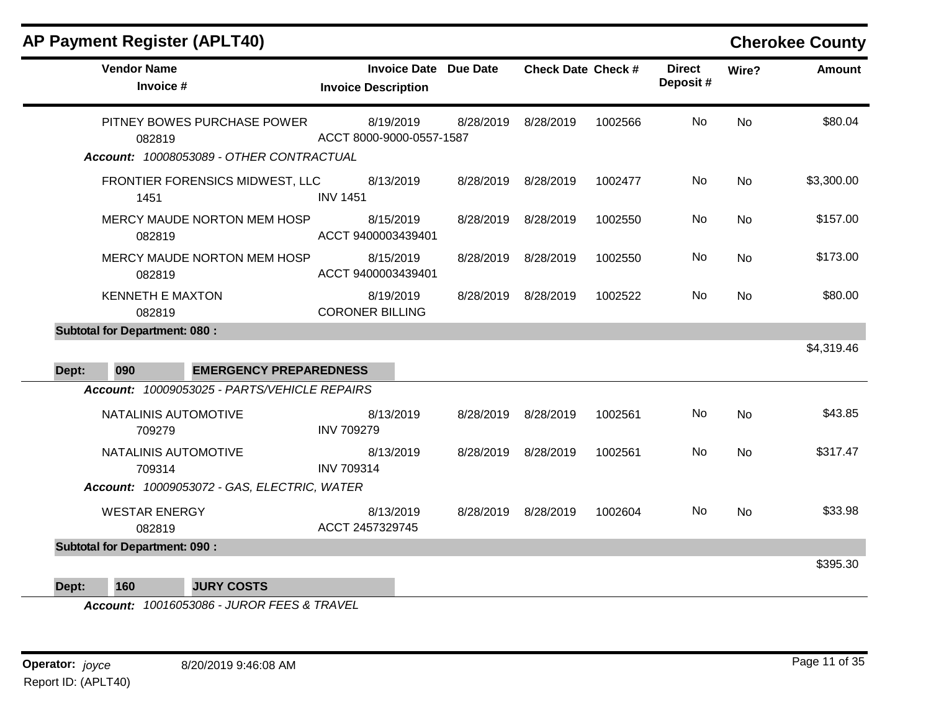| <b>AP Payment Register (APLT40)</b> |  |
|-------------------------------------|--|
|-------------------------------------|--|

## **Cherokee County**

| <b>Vendor Name</b><br>Invoice #               | <b>Invoice Date</b><br><b>Invoice Description</b> | <b>Due Date</b> | <b>Check Date Check #</b> |         | <b>Direct</b><br>Deposit# | Wire?     | <b>Amount</b> |
|-----------------------------------------------|---------------------------------------------------|-----------------|---------------------------|---------|---------------------------|-----------|---------------|
| PITNEY BOWES PURCHASE POWER<br>082819         | 8/19/2019<br>ACCT 8000-9000-0557-1587             | 8/28/2019       | 8/28/2019                 | 1002566 | No                        | <b>No</b> | \$80.04       |
| Account: 10008053089 - OTHER CONTRACTUAL      |                                                   |                 |                           |         |                           |           |               |
| FRONTIER FORENSICS MIDWEST, LLC<br>1451       | 8/13/2019<br><b>INV 1451</b>                      |                 | 8/28/2019 8/28/2019       | 1002477 | No                        | <b>No</b> | \$3,300.00    |
| MERCY MAUDE NORTON MEM HOSP<br>082819         | 8/15/2019<br>ACCT 9400003439401                   | 8/28/2019       | 8/28/2019                 | 1002550 | No                        | <b>No</b> | \$157.00      |
| MERCY MAUDE NORTON MEM HOSP<br>082819         | 8/15/2019<br>ACCT 9400003439401                   | 8/28/2019       | 8/28/2019                 | 1002550 | <b>No</b>                 | <b>No</b> | \$173.00      |
| <b>KENNETH E MAXTON</b><br>082819             | 8/19/2019<br><b>CORONER BILLING</b>               | 8/28/2019       | 8/28/2019                 | 1002522 | No.                       | No.       | \$80.00       |
| <b>Subtotal for Department: 080:</b>          |                                                   |                 |                           |         |                           |           |               |
|                                               |                                                   |                 |                           |         |                           |           | \$4,319.46    |
| <b>EMERGENCY PREPAREDNESS</b><br>090<br>Dept: |                                                   |                 |                           |         |                           |           |               |
| Account: 10009053025 - PARTS/VEHICLE REPAIRS  |                                                   |                 |                           |         |                           |           |               |
| NATALINIS AUTOMOTIVE<br>709279                | 8/13/2019<br><b>INV 709279</b>                    | 8/28/2019       | 8/28/2019                 | 1002561 | No                        | <b>No</b> | \$43.85       |
| NATALINIS AUTOMOTIVE<br>709314                | 8/13/2019<br><b>INV 709314</b>                    | 8/28/2019       | 8/28/2019                 | 1002561 | No.                       | <b>No</b> | \$317.47      |
| Account: 10009053072 - GAS, ELECTRIC, WATER   |                                                   |                 |                           |         |                           |           |               |
| <b>WESTAR ENERGY</b><br>082819                | 8/13/2019<br>ACCT 2457329745                      | 8/28/2019       | 8/28/2019                 | 1002604 | <b>No</b>                 | <b>No</b> | \$33.98       |
| <b>Subtotal for Department: 090:</b>          |                                                   |                 |                           |         |                           |           | \$395.30      |
|                                               |                                                   |                 |                           |         |                           |           |               |

**Dept: 160 JURY COSTS**

*Account: 10016053086 - JUROR FEES & TRAVEL*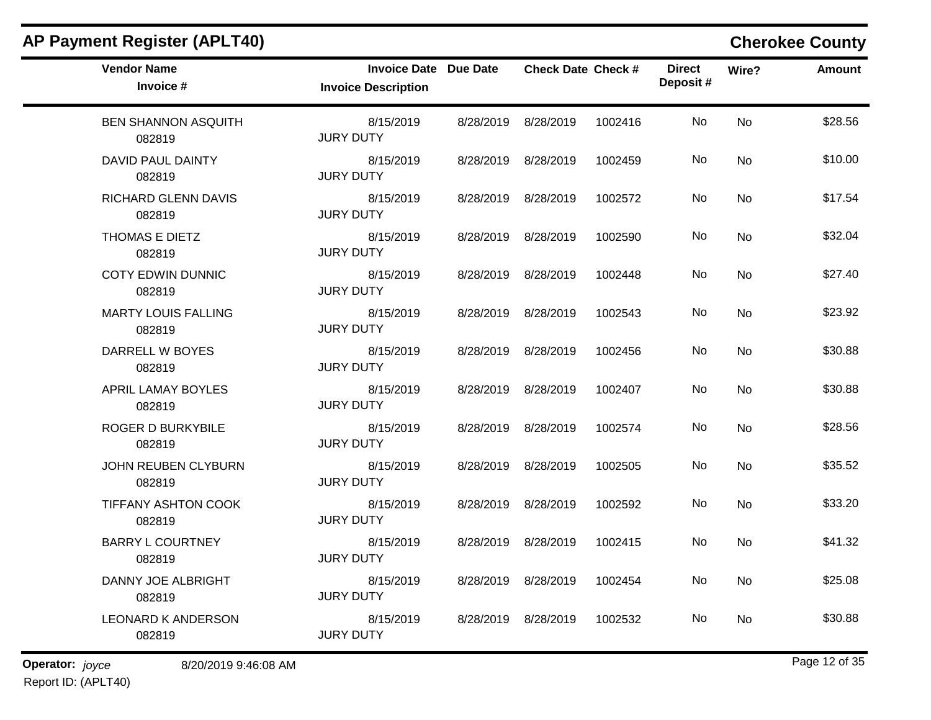| <b>Vendor Name</b><br>Invoice #      | Invoice Date Due Date<br><b>Invoice Description</b> |           | <b>Check Date Check #</b> |         | <b>Direct</b><br>Deposit # | Wire?     | <b>Amount</b> |
|--------------------------------------|-----------------------------------------------------|-----------|---------------------------|---------|----------------------------|-----------|---------------|
| <b>BEN SHANNON ASQUITH</b><br>082819 | 8/15/2019<br><b>JURY DUTY</b>                       |           | 8/28/2019 8/28/2019       | 1002416 | No                         | <b>No</b> | \$28.56       |
| DAVID PAUL DAINTY<br>082819          | 8/15/2019<br><b>JURY DUTY</b>                       |           | 8/28/2019 8/28/2019       | 1002459 | No.                        | No        | \$10.00       |
| <b>RICHARD GLENN DAVIS</b><br>082819 | 8/15/2019<br><b>JURY DUTY</b>                       |           | 8/28/2019 8/28/2019       | 1002572 | No                         | No        | \$17.54       |
| THOMAS E DIETZ<br>082819             | 8/15/2019<br><b>JURY DUTY</b>                       |           | 8/28/2019 8/28/2019       | 1002590 | No.                        | <b>No</b> | \$32.04       |
| <b>COTY EDWIN DUNNIC</b><br>082819   | 8/15/2019<br><b>JURY DUTY</b>                       |           | 8/28/2019 8/28/2019       | 1002448 | No                         | <b>No</b> | \$27.40       |
| <b>MARTY LOUIS FALLING</b><br>082819 | 8/15/2019<br><b>JURY DUTY</b>                       | 8/28/2019 | 8/28/2019                 | 1002543 | No.                        | No        | \$23.92       |
| DARRELL W BOYES<br>082819            | 8/15/2019<br><b>JURY DUTY</b>                       |           | 8/28/2019 8/28/2019       | 1002456 | No.                        | No        | \$30.88       |
| <b>APRIL LAMAY BOYLES</b><br>082819  | 8/15/2019<br><b>JURY DUTY</b>                       |           | 8/28/2019 8/28/2019       | 1002407 | No                         | <b>No</b> | \$30.88       |
| ROGER D BURKYBILE<br>082819          | 8/15/2019<br><b>JURY DUTY</b>                       |           | 8/28/2019 8/28/2019       | 1002574 | No.                        | No        | \$28.56       |
| JOHN REUBEN CLYBURN<br>082819        | 8/15/2019<br><b>JURY DUTY</b>                       |           | 8/28/2019 8/28/2019       | 1002505 | No.                        | No        | \$35.52       |
| TIFFANY ASHTON COOK<br>082819        | 8/15/2019<br><b>JURY DUTY</b>                       |           | 8/28/2019 8/28/2019       | 1002592 | No                         | <b>No</b> | \$33.20       |
| <b>BARRY L COURTNEY</b><br>082819    | 8/15/2019<br><b>JURY DUTY</b>                       |           | 8/28/2019 8/28/2019       | 1002415 | No                         | No        | \$41.32       |
| DANNY JOE ALBRIGHT<br>082819         | 8/15/2019<br><b>JURY DUTY</b>                       |           | 8/28/2019 8/28/2019       | 1002454 | No.                        | No        | \$25.08       |
| <b>LEONARD K ANDERSON</b><br>082819  | 8/15/2019<br><b>JURY DUTY</b>                       | 8/28/2019 | 8/28/2019                 | 1002532 | No.                        | No        | \$30.88       |

**Operator:** joyce 8/20/2019 9:46:08 AM Report ID: (APLT40)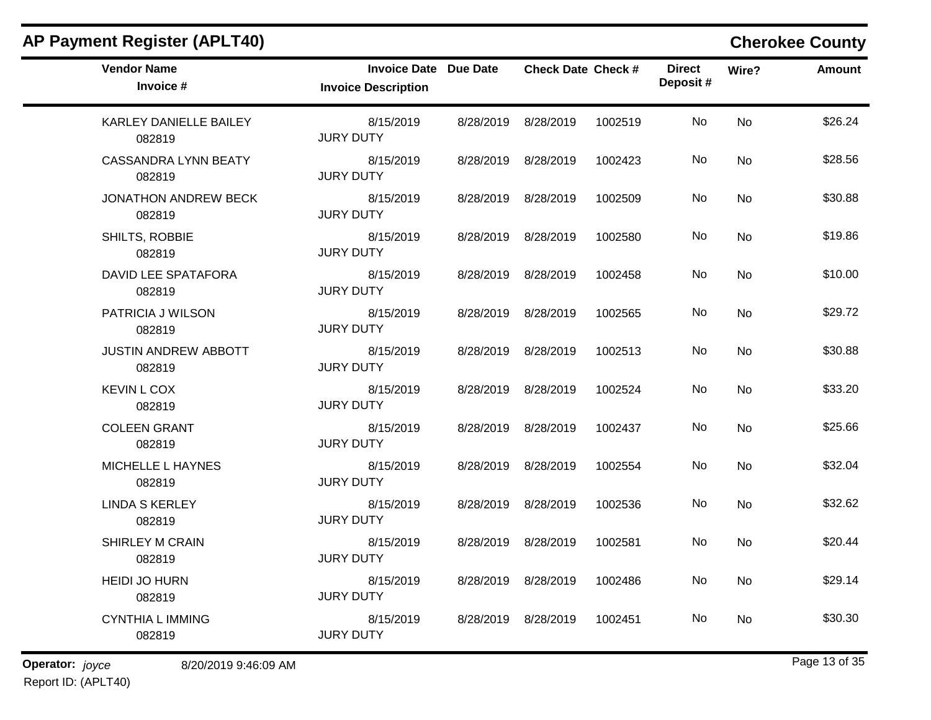| <b>Vendor Name</b><br>Invoice #       | <b>Invoice Date Due Date</b><br><b>Invoice Description</b> | <b>Check Date Check #</b> |         | <b>Direct</b><br>Deposit# | Wire?     | <b>Amount</b> |
|---------------------------------------|------------------------------------------------------------|---------------------------|---------|---------------------------|-----------|---------------|
| KARLEY DANIELLE BAILEY<br>082819      | 8/15/2019<br><b>JURY DUTY</b>                              | 8/28/2019 8/28/2019       | 1002519 | No                        | <b>No</b> | \$26.24       |
| <b>CASSANDRA LYNN BEATY</b><br>082819 | 8/15/2019<br><b>JURY DUTY</b>                              | 8/28/2019 8/28/2019       | 1002423 | No.                       | <b>No</b> | \$28.56       |
| <b>JONATHON ANDREW BECK</b><br>082819 | 8/15/2019<br><b>JURY DUTY</b>                              | 8/28/2019 8/28/2019       | 1002509 | No.                       | No        | \$30.88       |
| SHILTS, ROBBIE<br>082819              | 8/15/2019<br><b>JURY DUTY</b>                              | 8/28/2019 8/28/2019       | 1002580 | No                        | <b>No</b> | \$19.86       |
| DAVID LEE SPATAFORA<br>082819         | 8/15/2019<br><b>JURY DUTY</b>                              | 8/28/2019 8/28/2019       | 1002458 | No.                       | <b>No</b> | \$10.00       |
| PATRICIA J WILSON<br>082819           | 8/15/2019<br><b>JURY DUTY</b>                              | 8/28/2019 8/28/2019       | 1002565 | No                        | <b>No</b> | \$29.72       |
| <b>JUSTIN ANDREW ABBOTT</b><br>082819 | 8/15/2019<br><b>JURY DUTY</b>                              | 8/28/2019 8/28/2019       | 1002513 | No.                       | No        | \$30.88       |
| <b>KEVIN L COX</b><br>082819          | 8/15/2019<br><b>JURY DUTY</b>                              | 8/28/2019 8/28/2019       | 1002524 | No                        | No        | \$33.20       |
| <b>COLEEN GRANT</b><br>082819         | 8/15/2019<br><b>JURY DUTY</b>                              | 8/28/2019 8/28/2019       | 1002437 | <b>No</b>                 | <b>No</b> | \$25.66       |
| MICHELLE L HAYNES<br>082819           | 8/15/2019<br><b>JURY DUTY</b>                              | 8/28/2019 8/28/2019       | 1002554 | No.                       | No        | \$32.04       |
| <b>LINDA S KERLEY</b><br>082819       | 8/15/2019<br><b>JURY DUTY</b>                              | 8/28/2019 8/28/2019       | 1002536 | No.                       | No        | \$32.62       |
| SHIRLEY M CRAIN<br>082819             | 8/15/2019<br><b>JURY DUTY</b>                              | 8/28/2019 8/28/2019       | 1002581 | No                        | <b>No</b> | \$20.44       |
| <b>HEIDI JO HURN</b><br>082819        | 8/15/2019<br><b>JURY DUTY</b>                              | 8/28/2019 8/28/2019       | 1002486 | No.                       | No        | \$29.14       |
| <b>CYNTHIA L IMMING</b><br>082819     | 8/15/2019<br><b>JURY DUTY</b>                              | 8/28/2019 8/28/2019       | 1002451 | No                        | No        | \$30.30       |

**Operator:** joyce 8/20/2019 9:46:09 AM Report ID: (APLT40)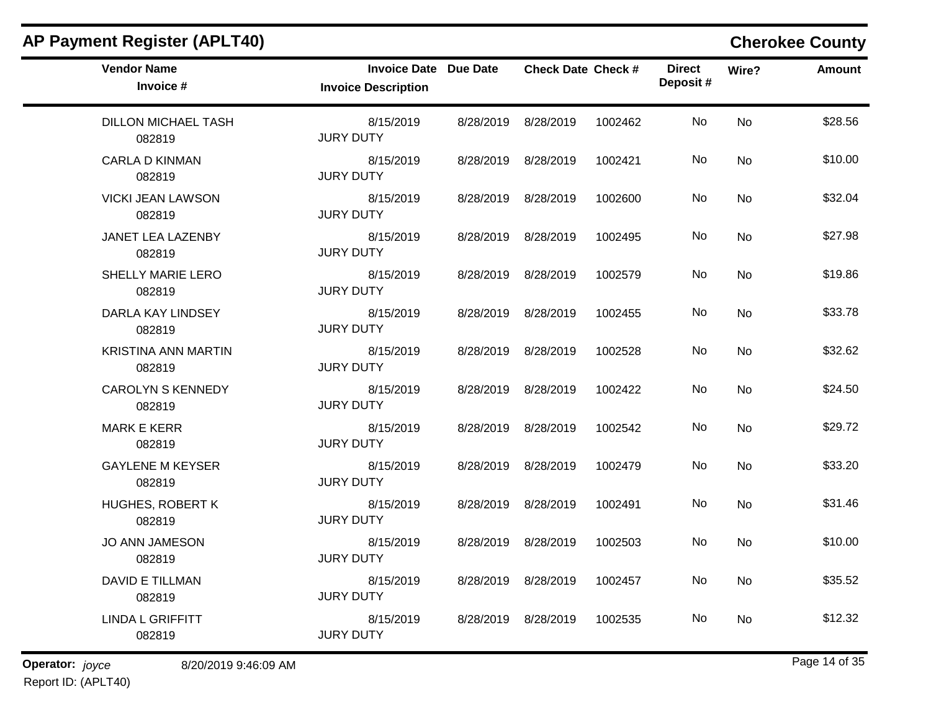| <b>AP Payment Register (APLT40)</b>  |                                                            |           |                           |         |                           |           | <b>Cherokee County</b> |
|--------------------------------------|------------------------------------------------------------|-----------|---------------------------|---------|---------------------------|-----------|------------------------|
| <b>Vendor Name</b><br>Invoice #      | <b>Invoice Date Due Date</b><br><b>Invoice Description</b> |           | <b>Check Date Check #</b> |         | <b>Direct</b><br>Deposit# | Wire?     | Amount                 |
| <b>DILLON MICHAEL TASH</b><br>082819 | 8/15/2019<br><b>JURY DUTY</b>                              | 8/28/2019 | 8/28/2019                 | 1002462 | No                        | <b>No</b> | \$28.56                |
| <b>CARLA D KINMAN</b><br>082819      | 8/15/2019<br><b>JURY DUTY</b>                              | 8/28/2019 | 8/28/2019                 | 1002421 | No                        | No        | \$10.00                |
| <b>VICKI JEAN LAWSON</b><br>082819   | 8/15/2019<br><b>JURY DUTY</b>                              |           | 8/28/2019 8/28/2019       | 1002600 | No                        | No        | \$32.04                |
| JANET LEA LAZENBY<br>082819          | 8/15/2019<br><b>JURY DUTY</b>                              | 8/28/2019 | 8/28/2019                 | 1002495 | No                        | <b>No</b> | \$27.98                |
| SHELLY MARIE LERO<br>082819          | 8/15/2019<br><b>JURY DUTY</b>                              | 8/28/2019 | 8/28/2019                 | 1002579 | No                        | <b>No</b> | \$19.86                |
| DARLA KAY LINDSEY<br>082819          | 8/15/2019<br><b>JURY DUTY</b>                              | 8/28/2019 | 8/28/2019                 | 1002455 | No                        | No        | \$33.78                |
| <b>KRISTINA ANN MARTIN</b><br>082819 | 8/15/2019<br><b>JURY DUTY</b>                              |           | 8/28/2019 8/28/2019       | 1002528 | No                        | No        | \$32.62                |
| <b>CAROLYN S KENNEDY</b><br>082819   | 8/15/2019<br><b>JURY DUTY</b>                              | 8/28/2019 | 8/28/2019                 | 1002422 | No                        | <b>No</b> | \$24.50                |
| <b>MARK E KERR</b><br>082819         | 8/15/2019<br><b>JURY DUTY</b>                              | 8/28/2019 | 8/28/2019                 | 1002542 | No                        | <b>No</b> | \$29.72                |
| <b>GAYLENE M KEYSER</b><br>082819    | 8/15/2019<br><b>JURY DUTY</b>                              | 8/28/2019 | 8/28/2019                 | 1002479 | No                        | No        | \$33.20                |
| <b>HUGHES, ROBERT K</b><br>082819    | 8/15/2019<br><b>JURY DUTY</b>                              | 8/28/2019 | 8/28/2019                 | 1002491 | No                        | No        | \$31.46                |
| <b>JO ANN JAMESON</b><br>082819      | 8/15/2019<br><b>JURY DUTY</b>                              | 8/28/2019 | 8/28/2019                 | 1002503 | No                        | No        | \$10.00                |
| <b>DAVID E TILLMAN</b><br>082819     | 8/15/2019<br><b>JURY DUTY</b>                              |           | 8/28/2019 8/28/2019       | 1002457 | No                        | No        | \$35.52                |
| <b>LINDA L GRIFFITT</b><br>082819    | 8/15/2019<br><b>JURY DUTY</b>                              |           | 8/28/2019 8/28/2019       | 1002535 | No                        | No        | \$12.32                |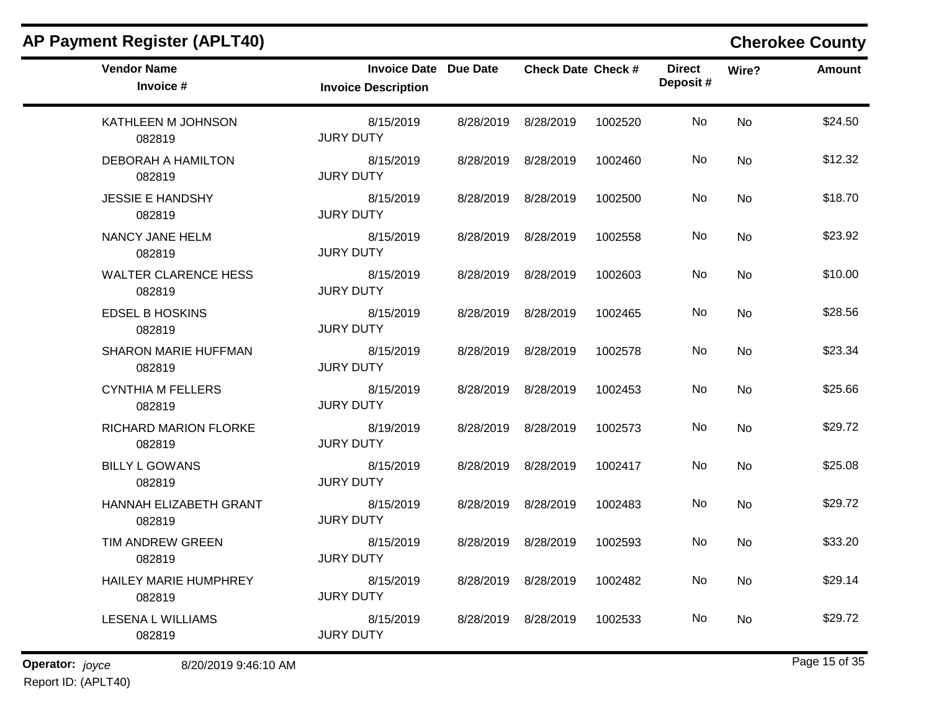| AP Payment Register (APLT40)           |                                                            |           |                           |         |                           |           | <b>Cherokee County</b> |
|----------------------------------------|------------------------------------------------------------|-----------|---------------------------|---------|---------------------------|-----------|------------------------|
| <b>Vendor Name</b><br>Invoice #        | <b>Invoice Date Due Date</b><br><b>Invoice Description</b> |           | <b>Check Date Check #</b> |         | <b>Direct</b><br>Deposit# | Wire?     | <b>Amount</b>          |
| KATHLEEN M JOHNSON<br>082819           | 8/15/2019<br><b>JURY DUTY</b>                              | 8/28/2019 | 8/28/2019                 | 1002520 | No                        | No        | \$24.50                |
| DEBORAH A HAMILTON<br>082819           | 8/15/2019<br><b>JURY DUTY</b>                              | 8/28/2019 | 8/28/2019                 | 1002460 | No                        | No        | \$12.32                |
| <b>JESSIE E HANDSHY</b><br>082819      | 8/15/2019<br><b>JURY DUTY</b>                              |           | 8/28/2019 8/28/2019       | 1002500 | No.                       | No        | \$18.70                |
| NANCY JANE HELM<br>082819              | 8/15/2019<br><b>JURY DUTY</b>                              | 8/28/2019 | 8/28/2019                 | 1002558 | No                        | <b>No</b> | \$23.92                |
| <b>WALTER CLARENCE HESS</b><br>082819  | 8/15/2019<br><b>JURY DUTY</b>                              | 8/28/2019 | 8/28/2019                 | 1002603 | No                        | <b>No</b> | \$10.00                |
| <b>EDSEL B HOSKINS</b><br>082819       | 8/15/2019<br><b>JURY DUTY</b>                              | 8/28/2019 | 8/28/2019                 | 1002465 | No                        | No        | \$28.56                |
| <b>SHARON MARIE HUFFMAN</b><br>082819  | 8/15/2019<br><b>JURY DUTY</b>                              |           | 8/28/2019 8/28/2019       | 1002578 | No.                       | No        | \$23.34                |
| <b>CYNTHIA M FELLERS</b><br>082819     | 8/15/2019<br><b>JURY DUTY</b>                              | 8/28/2019 | 8/28/2019                 | 1002453 | No                        | <b>No</b> | \$25.66                |
| RICHARD MARION FLORKE<br>082819        | 8/19/2019<br><b>JURY DUTY</b>                              | 8/28/2019 | 8/28/2019                 | 1002573 | No                        | <b>No</b> | \$29.72                |
| <b>BILLY L GOWANS</b><br>082819        | 8/15/2019<br><b>JURY DUTY</b>                              | 8/28/2019 | 8/28/2019                 | 1002417 | No                        | No        | \$25.08                |
| HANNAH ELIZABETH GRANT<br>082819       | 8/15/2019<br><b>JURY DUTY</b>                              | 8/28/2019 | 8/28/2019                 | 1002483 | No                        | <b>No</b> | \$29.72                |
| TIM ANDREW GREEN<br>082819             | 8/15/2019<br><b>JURY DUTY</b>                              | 8/28/2019 | 8/28/2019                 | 1002593 | No                        | <b>No</b> | \$33.20                |
| <b>HAILEY MARIE HUMPHREY</b><br>082819 | 8/15/2019<br><b>JURY DUTY</b>                              |           | 8/28/2019 8/28/2019       | 1002482 | No                        | No        | \$29.14                |
| LESENA L WILLIAMS<br>082819            | 8/15/2019<br><b>JURY DUTY</b>                              |           | 8/28/2019 8/28/2019       | 1002533 | No                        | No        | \$29.72                |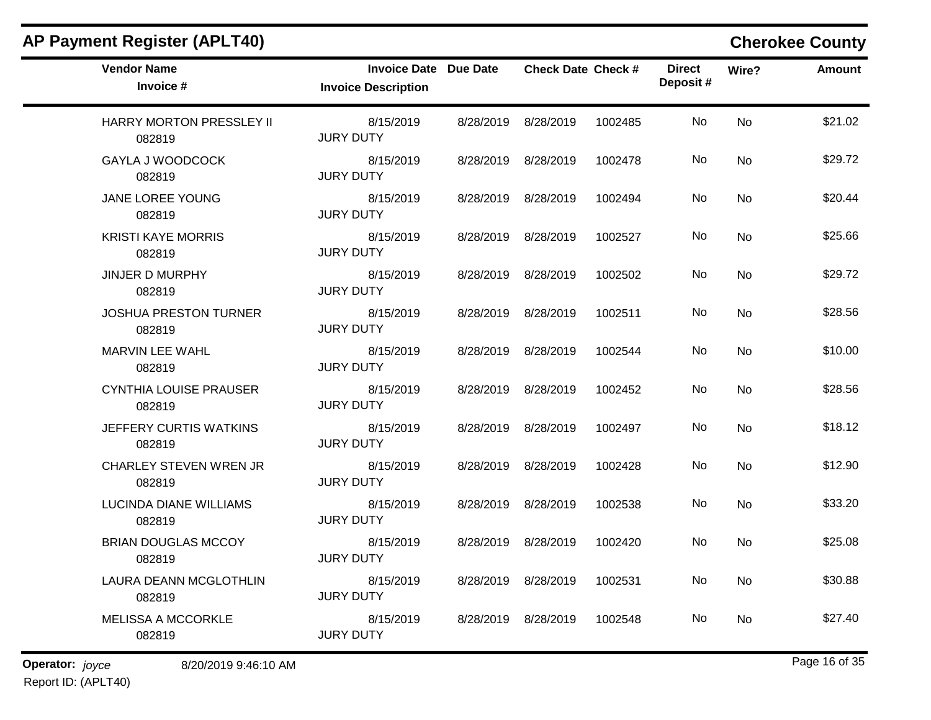| <b>Vendor Name</b><br>Invoice #         | <b>Invoice Date Due Date</b><br><b>Invoice Description</b> |           | <b>Check Date Check #</b> |         | <b>Direct</b><br>Deposit# | Wire?          | <b>Amount</b> |
|-----------------------------------------|------------------------------------------------------------|-----------|---------------------------|---------|---------------------------|----------------|---------------|
| HARRY MORTON PRESSLEY II<br>082819      | 8/15/2019<br><b>JURY DUTY</b>                              |           | 8/28/2019 8/28/2019       | 1002485 | <b>No</b>                 | <b>No</b>      | \$21.02       |
| <b>GAYLA J WOODCOCK</b><br>082819       | 8/15/2019<br><b>JURY DUTY</b>                              |           | 8/28/2019 8/28/2019       | 1002478 | No.                       | No             | \$29.72       |
| JANE LOREE YOUNG<br>082819              | 8/15/2019<br><b>JURY DUTY</b>                              |           | 8/28/2019 8/28/2019       | 1002494 | No.                       | N <sub>o</sub> | \$20.44       |
| <b>KRISTI KAYE MORRIS</b><br>082819     | 8/15/2019<br><b>JURY DUTY</b>                              | 8/28/2019 | 8/28/2019                 | 1002527 | No.                       | <b>No</b>      | \$25.66       |
| <b>JINJER D MURPHY</b><br>082819        | 8/15/2019<br><b>JURY DUTY</b>                              |           | 8/28/2019 8/28/2019       | 1002502 | No                        | <b>No</b>      | \$29.72       |
| <b>JOSHUA PRESTON TURNER</b><br>082819  | 8/15/2019<br><b>JURY DUTY</b>                              |           | 8/28/2019 8/28/2019       | 1002511 | No.                       | <b>No</b>      | \$28.56       |
| MARVIN LEE WAHL<br>082819               | 8/15/2019<br><b>JURY DUTY</b>                              |           | 8/28/2019 8/28/2019       | 1002544 | No.                       | N <sub>o</sub> | \$10.00       |
| <b>CYNTHIA LOUISE PRAUSER</b><br>082819 | 8/15/2019<br><b>JURY DUTY</b>                              |           | 8/28/2019 8/28/2019       | 1002452 | No                        | <b>No</b>      | \$28.56       |
| JEFFERY CURTIS WATKINS<br>082819        | 8/15/2019<br><b>JURY DUTY</b>                              |           | 8/28/2019 8/28/2019       | 1002497 | No.                       | No             | \$18.12       |
| <b>CHARLEY STEVEN WREN JR</b><br>082819 | 8/15/2019<br><b>JURY DUTY</b>                              |           | 8/28/2019 8/28/2019       | 1002428 | No.                       | <b>No</b>      | \$12.90       |
| <b>LUCINDA DIANE WILLIAMS</b><br>082819 | 8/15/2019<br><b>JURY DUTY</b>                              |           | 8/28/2019 8/28/2019       | 1002538 | No                        | <b>No</b>      | \$33.20       |
| <b>BRIAN DOUGLAS MCCOY</b><br>082819    | 8/15/2019<br><b>JURY DUTY</b>                              |           | 8/28/2019 8/28/2019       | 1002420 | No                        | <b>No</b>      | \$25.08       |
| LAURA DEANN MCGLOTHLIN<br>082819        | 8/15/2019<br><b>JURY DUTY</b>                              |           | 8/28/2019 8/28/2019       | 1002531 | No.                       | No             | \$30.88       |
| <b>MELISSA A MCCORKLE</b><br>082819     | 8/15/2019<br><b>JURY DUTY</b>                              |           | 8/28/2019 8/28/2019       | 1002548 | No.                       | No             | \$27.40       |

**Operator:** joyce 8/20/2019 9:46:10 AM Report ID: (APLT40)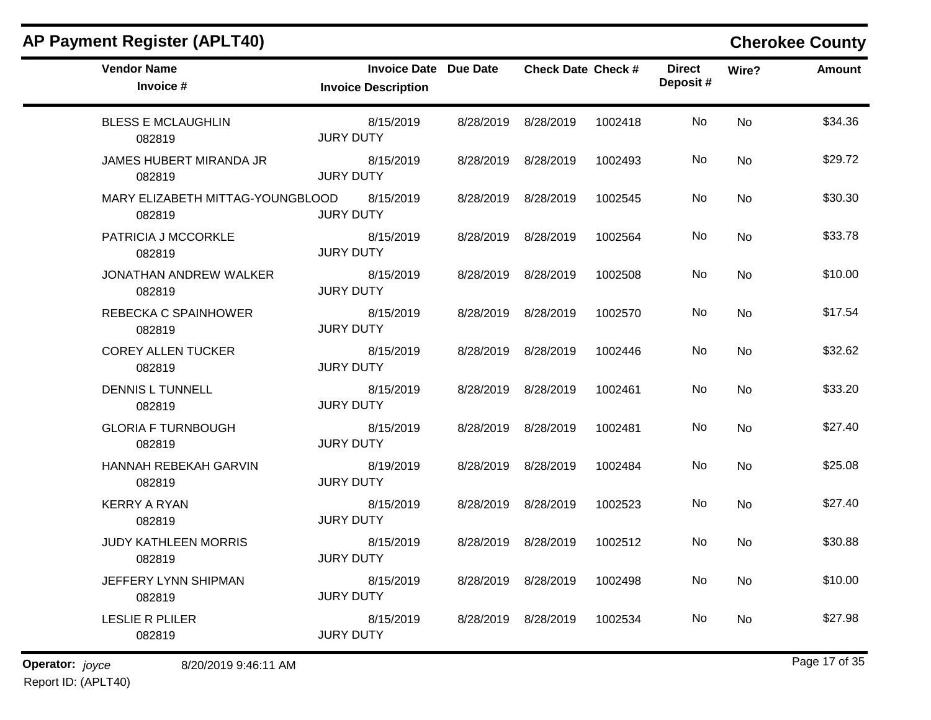| <b>AP Payment Register (APLT40)</b>        |                                                            |           |                           |         |                           |           | <b>Cherokee County</b> |
|--------------------------------------------|------------------------------------------------------------|-----------|---------------------------|---------|---------------------------|-----------|------------------------|
| <b>Vendor Name</b><br>Invoice #            | <b>Invoice Date Due Date</b><br><b>Invoice Description</b> |           | <b>Check Date Check #</b> |         | <b>Direct</b><br>Deposit# | Wire?     | <b>Amount</b>          |
| <b>BLESS E MCLAUGHLIN</b><br>082819        | 8/15/2019<br><b>JURY DUTY</b>                              | 8/28/2019 | 8/28/2019                 | 1002418 | No                        | <b>No</b> | \$34.36                |
| JAMES HUBERT MIRANDA JR<br>082819          | 8/15/2019<br><b>JURY DUTY</b>                              | 8/28/2019 | 8/28/2019                 | 1002493 | No                        | No        | \$29.72                |
| MARY ELIZABETH MITTAG-YOUNGBLOOD<br>082819 | 8/15/2019<br><b>JURY DUTY</b>                              | 8/28/2019 | 8/28/2019                 | 1002545 | No                        | No        | \$30.30                |
| PATRICIA J MCCORKLE<br>082819              | 8/15/2019<br><b>JURY DUTY</b>                              | 8/28/2019 | 8/28/2019                 | 1002564 | No                        | No        | \$33.78                |
| JONATHAN ANDREW WALKER<br>082819           | 8/15/2019<br><b>JURY DUTY</b>                              | 8/28/2019 | 8/28/2019                 | 1002508 | No                        | No        | \$10.00                |
| REBECKA C SPAINHOWER<br>082819             | 8/15/2019<br><b>JURY DUTY</b>                              | 8/28/2019 | 8/28/2019                 | 1002570 | No                        | No        | \$17.54                |
| <b>COREY ALLEN TUCKER</b><br>082819        | 8/15/2019<br><b>JURY DUTY</b>                              | 8/28/2019 | 8/28/2019                 | 1002446 | No                        | No        | \$32.62                |
| <b>DENNIS L TUNNELL</b><br>082819          | 8/15/2019<br><b>JURY DUTY</b>                              | 8/28/2019 | 8/28/2019                 | 1002461 | No                        | <b>No</b> | \$33.20                |
| <b>GLORIA F TURNBOUGH</b><br>082819        | 8/15/2019<br><b>JURY DUTY</b>                              | 8/28/2019 | 8/28/2019                 | 1002481 | No                        | No        | \$27.40                |
| HANNAH REBEKAH GARVIN<br>082819            | 8/19/2019<br><b>JURY DUTY</b>                              | 8/28/2019 | 8/28/2019                 | 1002484 | No                        | No        | \$25.08                |
| <b>KERRY A RYAN</b><br>082819              | 8/15/2019<br><b>JURY DUTY</b>                              | 8/28/2019 | 8/28/2019                 | 1002523 | No                        | No        | \$27.40                |
| <b>JUDY KATHLEEN MORRIS</b><br>082819      | 8/15/2019<br><b>JURY DUTY</b>                              | 8/28/2019 | 8/28/2019                 | 1002512 | No                        | No        | \$30.88                |
| JEFFERY LYNN SHIPMAN<br>082819             | 8/15/2019<br><b>JURY DUTY</b>                              |           | 8/28/2019 8/28/2019       | 1002498 | No                        | No        | \$10.00                |
| <b>LESLIE R PLILER</b><br>082819           | 8/15/2019<br><b>JURY DUTY</b>                              |           | 8/28/2019 8/28/2019       | 1002534 | No                        | No        | \$27.98                |

**Operator:** joyce 8/20/2019 9:46:11 AM Report ID: (APLT40)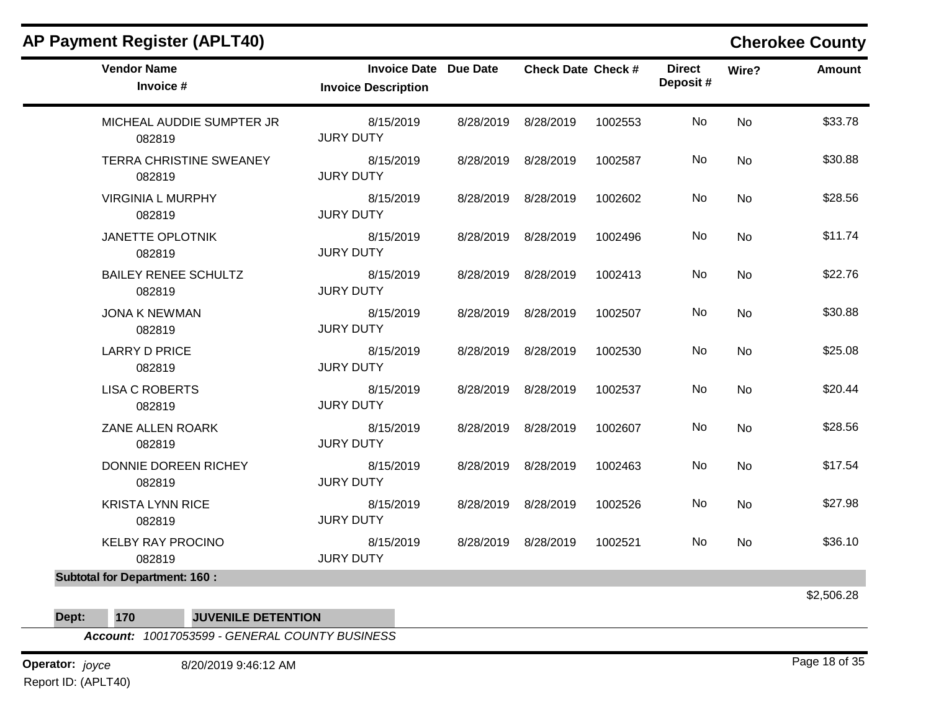| <b>Vendor Name</b><br>Invoice #       | <b>Invoice Date Due Date</b><br><b>Invoice Description</b> | <b>Check Date Check #</b> |         | <b>Direct</b><br>Deposit# | Wire?     | <b>Amount</b> |
|---------------------------------------|------------------------------------------------------------|---------------------------|---------|---------------------------|-----------|---------------|
| MICHEAL AUDDIE SUMPTER JR<br>082819   | 8/15/2019<br><b>JURY DUTY</b>                              | 8/28/2019 8/28/2019       | 1002553 | No                        | <b>No</b> | \$33.78       |
| TERRA CHRISTINE SWEANEY<br>082819     | 8/15/2019<br><b>JURY DUTY</b>                              | 8/28/2019 8/28/2019       | 1002587 | No                        | No        | \$30.88       |
| <b>VIRGINIA L MURPHY</b><br>082819    | 8/15/2019<br><b>JURY DUTY</b>                              | 8/28/2019 8/28/2019       | 1002602 | No                        | No        | \$28.56       |
| <b>JANETTE OPLOTNIK</b><br>082819     | 8/15/2019<br><b>JURY DUTY</b>                              | 8/28/2019 8/28/2019       | 1002496 | No                        | No        | \$11.74       |
| <b>BAILEY RENEE SCHULTZ</b><br>082819 | 8/15/2019<br><b>JURY DUTY</b>                              | 8/28/2019 8/28/2019       | 1002413 | No                        | No        | \$22.76       |
| <b>JONA K NEWMAN</b><br>082819        | 8/15/2019<br><b>JURY DUTY</b>                              | 8/28/2019 8/28/2019       | 1002507 | No                        | No        | \$30.88       |
| <b>LARRY D PRICE</b><br>082819        | 8/15/2019<br><b>JURY DUTY</b>                              | 8/28/2019 8/28/2019       | 1002530 | No                        | <b>No</b> | \$25.08       |
| <b>LISA C ROBERTS</b><br>082819       | 8/15/2019<br><b>JURY DUTY</b>                              | 8/28/2019 8/28/2019       | 1002537 | No                        | <b>No</b> | \$20.44       |
| ZANE ALLEN ROARK<br>082819            | 8/15/2019<br><b>JURY DUTY</b>                              | 8/28/2019 8/28/2019       | 1002607 | No                        | No        | \$28.56       |
| DONNIE DOREEN RICHEY<br>082819        | 8/15/2019<br><b>JURY DUTY</b>                              | 8/28/2019 8/28/2019       | 1002463 | No                        | No        | \$17.54       |
| <b>KRISTA LYNN RICE</b><br>082819     | 8/15/2019<br><b>JURY DUTY</b>                              | 8/28/2019 8/28/2019       | 1002526 | No                        | No        | \$27.98       |
| <b>KELBY RAY PROCINO</b><br>082819    | 8/15/2019<br><b>JURY DUTY</b>                              | 8/28/2019 8/28/2019       | 1002521 | No                        | No        | \$36.10       |
| <b>Subtotal for Department: 160:</b>  |                                                            |                           |         |                           |           |               |

\$2,506.28

**Dept: 170 JUVENILE DETENTION**

*Account: 10017053599 - GENERAL COUNTY BUSINESS*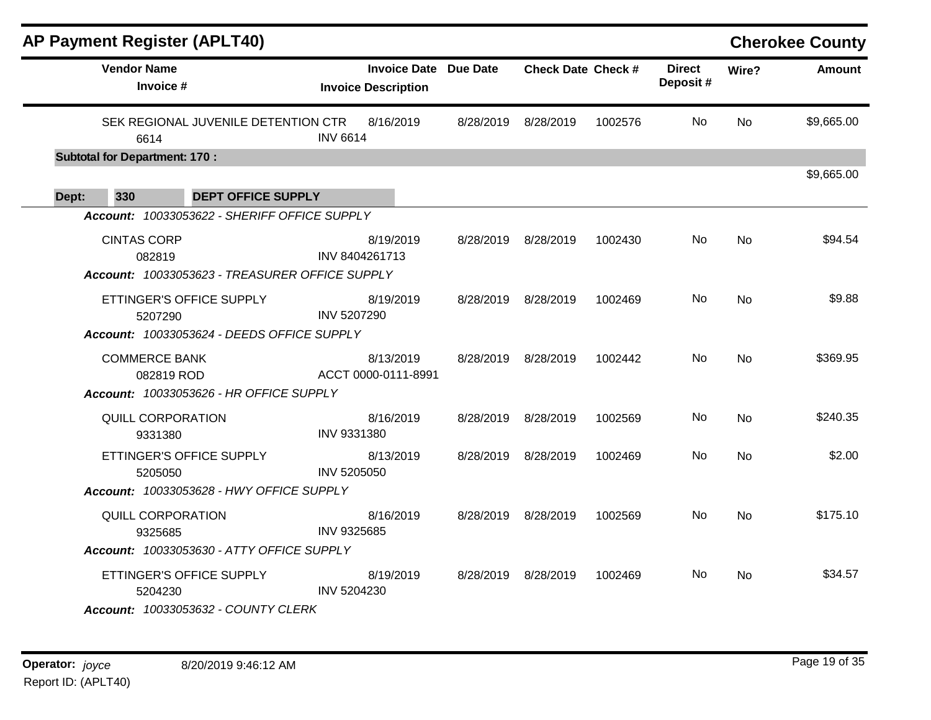|       |                                      | <b>AP Payment Register (APLT40)</b>                             |                 |                                                            |                           |         |                           |           | <b>Cherokee County</b> |
|-------|--------------------------------------|-----------------------------------------------------------------|-----------------|------------------------------------------------------------|---------------------------|---------|---------------------------|-----------|------------------------|
|       | <b>Vendor Name</b><br>Invoice #      |                                                                 |                 | <b>Invoice Date Due Date</b><br><b>Invoice Description</b> | <b>Check Date Check #</b> |         | <b>Direct</b><br>Deposit# | Wire?     | Amount                 |
|       | 6614                                 | SEK REGIONAL JUVENILE DETENTION CTR                             | <b>INV 6614</b> | 8/16/2019                                                  | 8/28/2019 8/28/2019       | 1002576 | No.                       | <b>No</b> | \$9,665.00             |
|       | <b>Subtotal for Department: 170:</b> |                                                                 |                 |                                                            |                           |         |                           |           |                        |
| Dept: | 330                                  | <b>DEPT OFFICE SUPPLY</b>                                       |                 |                                                            |                           |         |                           |           | \$9,665.00             |
|       |                                      | Account: 10033053622 - SHERIFF OFFICE SUPPLY                    |                 |                                                            |                           |         |                           |           |                        |
|       | <b>CINTAS CORP</b><br>082819         |                                                                 |                 | 8/19/2019<br>INV 8404261713                                | 8/28/2019 8/28/2019       | 1002430 | No                        | No        | \$94.54                |
|       |                                      | Account: 10033053623 - TREASURER OFFICE SUPPLY                  |                 |                                                            |                           |         |                           |           |                        |
|       | 5207290                              | ETTINGER'S OFFICE SUPPLY                                        | INV 5207290     | 8/19/2019                                                  | 8/28/2019 8/28/2019       | 1002469 | No.                       | <b>No</b> | \$9.88                 |
|       |                                      | Account: 10033053624 - DEEDS OFFICE SUPPLY                      |                 |                                                            |                           |         |                           |           |                        |
|       | <b>COMMERCE BANK</b><br>082819 ROD   | <b>Account: 10033053626 - HR OFFICE SUPPLY</b>                  |                 | 8/13/2019<br>ACCT 0000-0111-8991                           | 8/28/2019 8/28/2019       | 1002442 | No.                       | <b>No</b> | \$369.95               |
|       | QUILL CORPORATION<br>9331380         |                                                                 | INV 9331380     | 8/16/2019                                                  | 8/28/2019 8/28/2019       | 1002569 | No.                       | No.       | \$240.35               |
|       | 5205050                              | ETTINGER'S OFFICE SUPPLY                                        | INV 5205050     | 8/13/2019                                                  | 8/28/2019 8/28/2019       | 1002469 | No                        | No        | \$2.00                 |
|       |                                      | Account: 10033053628 - HWY OFFICE SUPPLY                        |                 |                                                            |                           |         |                           |           |                        |
|       | QUILL CORPORATION<br>9325685         |                                                                 | INV 9325685     | 8/16/2019                                                  | 8/28/2019 8/28/2019       | 1002569 | No.                       | <b>No</b> | \$175.10               |
|       |                                      | Account: 10033053630 - ATTY OFFICE SUPPLY                       |                 |                                                            |                           |         |                           |           |                        |
|       | 5204230                              | ETTINGER'S OFFICE SUPPLY<br>Account: 10033053632 - COUNTY CLERK | INV 5204230     | 8/19/2019                                                  | 8/28/2019 8/28/2019       | 1002469 | No.                       | No.       | \$34.57                |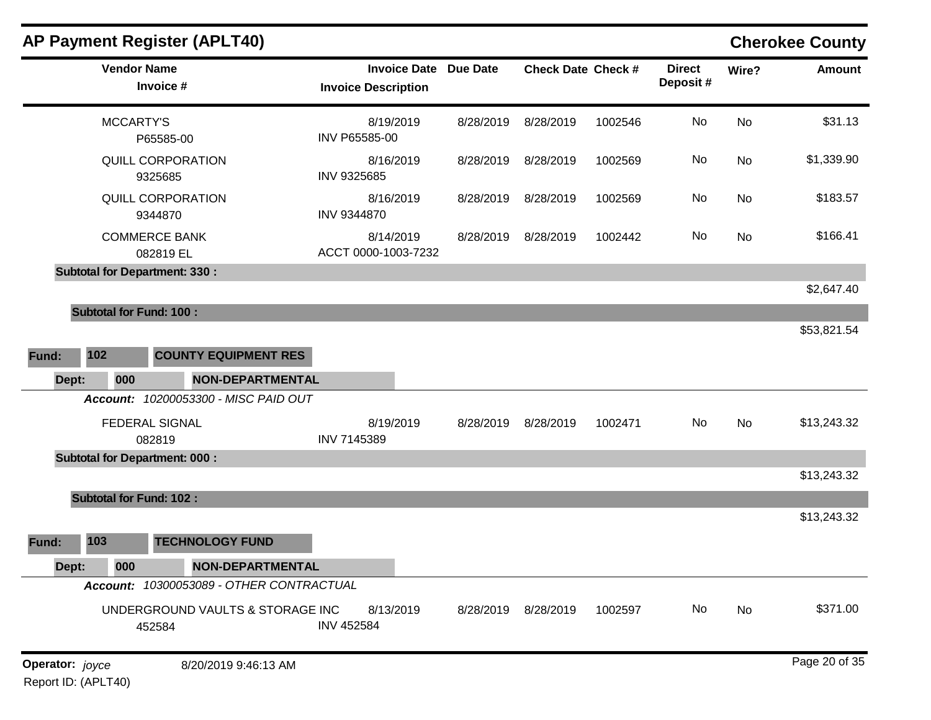|       |                                                                                                                                                                                                                                                                                                                                                                                                                                                                                                                                                                                                                                                                                                                                                                                                                                                                                                                                                                                                                                                                                                                                                          |  |                           |         |               |           | <b>Cherokee County</b> |
|-------|----------------------------------------------------------------------------------------------------------------------------------------------------------------------------------------------------------------------------------------------------------------------------------------------------------------------------------------------------------------------------------------------------------------------------------------------------------------------------------------------------------------------------------------------------------------------------------------------------------------------------------------------------------------------------------------------------------------------------------------------------------------------------------------------------------------------------------------------------------------------------------------------------------------------------------------------------------------------------------------------------------------------------------------------------------------------------------------------------------------------------------------------------------|--|---------------------------|---------|---------------|-----------|------------------------|
|       | AP Payment Register (APLT40)<br><b>Vendor Name</b><br><b>Invoice Date</b><br><b>Due Date</b><br><b>Check Date Check #</b><br>Invoice #<br><b>Invoice Description</b><br><b>MCCARTY'S</b><br>8/19/2019<br>8/28/2019<br>8/28/2019<br>INV P65585-00<br>P65585-00<br>QUILL CORPORATION<br>8/16/2019<br>8/28/2019<br>8/28/2019<br>INV 9325685<br>9325685<br>QUILL CORPORATION<br>8/16/2019<br>8/28/2019<br>8/28/2019<br><b>INV 9344870</b><br>9344870<br><b>COMMERCE BANK</b><br>8/14/2019<br>8/28/2019<br>8/28/2019<br>ACCT 0000-1003-7232<br>082819 EL<br><b>Subtotal for Department: 330:</b><br><b>Subtotal for Fund: 100:</b><br>102<br><b>COUNTY EQUIPMENT RES</b><br>Dept:<br>000<br><b>NON-DEPARTMENTAL</b><br>Account: 10200053300 - MISC PAID OUT<br><b>FEDERAL SIGNAL</b><br>8/19/2019<br>8/28/2019<br>8/28/2019<br>INV 7145389<br>082819<br><b>Subtotal for Department: 000:</b><br><b>Subtotal for Fund: 102:</b><br>103<br><b>TECHNOLOGY FUND</b><br>000<br><b>NON-DEPARTMENTAL</b><br>Dept:<br>Account: 10300053089 - OTHER CONTRACTUAL<br>UNDERGROUND VAULTS & STORAGE INC<br>8/13/2019<br>8/28/2019 8/28/2019<br><b>INV 452584</b><br>452584 |  | <b>Direct</b><br>Deposit# | Wire?   | <b>Amount</b> |           |                        |
|       |                                                                                                                                                                                                                                                                                                                                                                                                                                                                                                                                                                                                                                                                                                                                                                                                                                                                                                                                                                                                                                                                                                                                                          |  |                           | 1002546 | No            | <b>No</b> | \$31.13                |
|       |                                                                                                                                                                                                                                                                                                                                                                                                                                                                                                                                                                                                                                                                                                                                                                                                                                                                                                                                                                                                                                                                                                                                                          |  |                           | 1002569 | No            | No        | \$1,339.90             |
|       |                                                                                                                                                                                                                                                                                                                                                                                                                                                                                                                                                                                                                                                                                                                                                                                                                                                                                                                                                                                                                                                                                                                                                          |  |                           | 1002569 | No            | No        | \$183.57               |
|       |                                                                                                                                                                                                                                                                                                                                                                                                                                                                                                                                                                                                                                                                                                                                                                                                                                                                                                                                                                                                                                                                                                                                                          |  |                           | 1002442 | No            | No        | \$166.41               |
|       |                                                                                                                                                                                                                                                                                                                                                                                                                                                                                                                                                                                                                                                                                                                                                                                                                                                                                                                                                                                                                                                                                                                                                          |  |                           |         |               |           | \$2,647.40             |
|       |                                                                                                                                                                                                                                                                                                                                                                                                                                                                                                                                                                                                                                                                                                                                                                                                                                                                                                                                                                                                                                                                                                                                                          |  |                           |         |               |           | \$53,821.54            |
| Fund: |                                                                                                                                                                                                                                                                                                                                                                                                                                                                                                                                                                                                                                                                                                                                                                                                                                                                                                                                                                                                                                                                                                                                                          |  |                           |         |               |           |                        |
|       |                                                                                                                                                                                                                                                                                                                                                                                                                                                                                                                                                                                                                                                                                                                                                                                                                                                                                                                                                                                                                                                                                                                                                          |  |                           |         |               |           |                        |
|       |                                                                                                                                                                                                                                                                                                                                                                                                                                                                                                                                                                                                                                                                                                                                                                                                                                                                                                                                                                                                                                                                                                                                                          |  |                           |         |               |           |                        |
|       |                                                                                                                                                                                                                                                                                                                                                                                                                                                                                                                                                                                                                                                                                                                                                                                                                                                                                                                                                                                                                                                                                                                                                          |  |                           | 1002471 | No            | No        | \$13,243.32            |
|       |                                                                                                                                                                                                                                                                                                                                                                                                                                                                                                                                                                                                                                                                                                                                                                                                                                                                                                                                                                                                                                                                                                                                                          |  |                           |         |               |           |                        |
|       |                                                                                                                                                                                                                                                                                                                                                                                                                                                                                                                                                                                                                                                                                                                                                                                                                                                                                                                                                                                                                                                                                                                                                          |  |                           |         |               |           | \$13,243.32            |
|       |                                                                                                                                                                                                                                                                                                                                                                                                                                                                                                                                                                                                                                                                                                                                                                                                                                                                                                                                                                                                                                                                                                                                                          |  |                           |         |               |           | \$13,243.32            |
| Fund: |                                                                                                                                                                                                                                                                                                                                                                                                                                                                                                                                                                                                                                                                                                                                                                                                                                                                                                                                                                                                                                                                                                                                                          |  |                           |         |               |           |                        |
|       |                                                                                                                                                                                                                                                                                                                                                                                                                                                                                                                                                                                                                                                                                                                                                                                                                                                                                                                                                                                                                                                                                                                                                          |  |                           |         |               |           |                        |
|       |                                                                                                                                                                                                                                                                                                                                                                                                                                                                                                                                                                                                                                                                                                                                                                                                                                                                                                                                                                                                                                                                                                                                                          |  |                           |         |               |           |                        |
|       |                                                                                                                                                                                                                                                                                                                                                                                                                                                                                                                                                                                                                                                                                                                                                                                                                                                                                                                                                                                                                                                                                                                                                          |  |                           | 1002597 | No            | No        | \$371.00               |
|       |                                                                                                                                                                                                                                                                                                                                                                                                                                                                                                                                                                                                                                                                                                                                                                                                                                                                                                                                                                                                                                                                                                                                                          |  |                           |         |               |           |                        |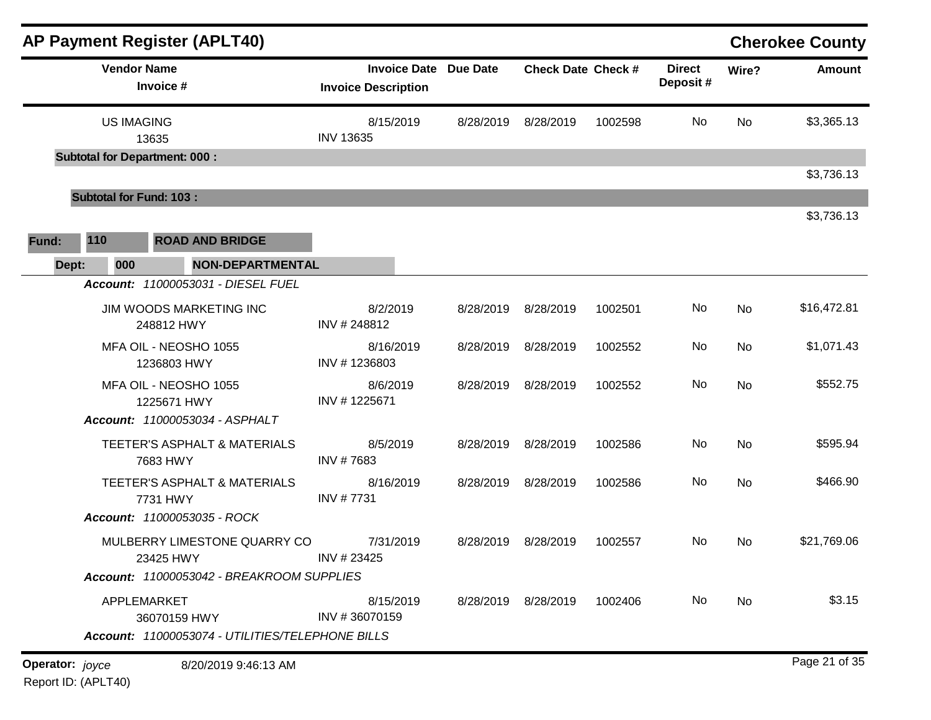|                               |                                       |                                 | <b>AP Payment Register (APLT40)</b>                     |                                                                    |           |                           |         |                           |             | <b>Cherokee County</b> |
|-------------------------------|---------------------------------------|---------------------------------|---------------------------------------------------------|--------------------------------------------------------------------|-----------|---------------------------|---------|---------------------------|-------------|------------------------|
|                               |                                       | <b>Vendor Name</b><br>Invoice # |                                                         | <b>Invoice Date Due Date</b><br><b>Invoice Description</b>         |           | <b>Check Date Check #</b> |         | <b>Direct</b><br>Deposit# | Wire?       | <b>Amount</b>          |
|                               |                                       | <b>US IMAGING</b><br>13635      |                                                         | 8/15/2019<br>8/28/2019<br>8/28/2019<br>1002598<br><b>INV 13635</b> |           |                           | No      | No                        | \$3,365.13  |                        |
|                               | <b>Subtotal for Department: 000:</b>  |                                 |                                                         |                                                                    |           |                           |         |                           |             | \$3,736.13             |
|                               | <b>Subtotal for Fund: 103:</b>        |                                 |                                                         |                                                                    |           |                           |         |                           |             |                        |
| Fund:                         | 110                                   |                                 | <b>ROAD AND BRIDGE</b>                                  |                                                                    |           |                           |         |                           |             | \$3,736.13             |
|                               | 000<br>Dept:                          |                                 | NON-DEPARTMENTAL                                        |                                                                    |           |                           |         |                           |             |                        |
|                               |                                       |                                 | Account: 11000053031 - DIESEL FUEL                      |                                                                    |           |                           |         |                           |             |                        |
|                               | JIM WOODS MARKETING INC<br>248812 HWY |                                 | 8/2/2019<br>INV #248812                                 | 8/28/2019                                                          | 8/28/2019 | 1002501                   | No      | No                        | \$16,472.81 |                        |
|                               |                                       | 1236803 HWY                     | MFA OIL - NEOSHO 1055                                   | 8/16/2019<br>INV #1236803                                          | 8/28/2019 | 8/28/2019                 | 1002552 | No                        | No          | \$1,071.43             |
|                               |                                       | 1225671 HWY                     | MFA OIL - NEOSHO 1055<br>Account: 11000053034 - ASPHALT | 8/6/2019<br>INV #1225671                                           | 8/28/2019 | 8/28/2019                 | 1002552 | No                        | <b>No</b>   | \$552.75               |
|                               |                                       | 7683 HWY                        | TEETER'S ASPHALT & MATERIALS                            | 8/5/2019<br>INV #7683                                              | 8/28/2019 | 8/28/2019                 | 1002586 | No                        | <b>No</b>   | \$595.94               |
|                               |                                       | 7731 HWY                        | TEETER'S ASPHALT & MATERIALS                            | 8/16/2019<br>INV #7731                                             | 8/28/2019 | 8/28/2019                 | 1002586 | No                        | No          | \$466.90               |
|                               |                                       |                                 | Account: 11000053035 - ROCK                             |                                                                    |           |                           |         |                           |             |                        |
|                               |                                       | 23425 HWY                       | MULBERRY LIMESTONE QUARRY CO                            | 7/31/2019<br>INV # 23425                                           | 8/28/2019 | 8/28/2019                 | 1002557 | No                        | No          | \$21,769.06            |
|                               |                                       |                                 | Account: 11000053042 - BREAKROOM SUPPLIES               |                                                                    |           |                           |         |                           |             |                        |
|                               |                                       | APPLEMARKET<br>36070159 HWY     |                                                         | 8/15/2019<br>INV #36070159                                         |           | 8/28/2019 8/28/2019       | 1002406 | No                        | No          | \$3.15                 |
|                               |                                       |                                 | Account: 11000053074 - UTILITIES/TELEPHONE BILLS        |                                                                    |           |                           |         |                           |             |                        |
| <b>Operator:</b> <i>joyce</i> |                                       |                                 | 8/20/2019 9:46:13 AM                                    |                                                                    |           |                           |         |                           |             | Page 21 of 35          |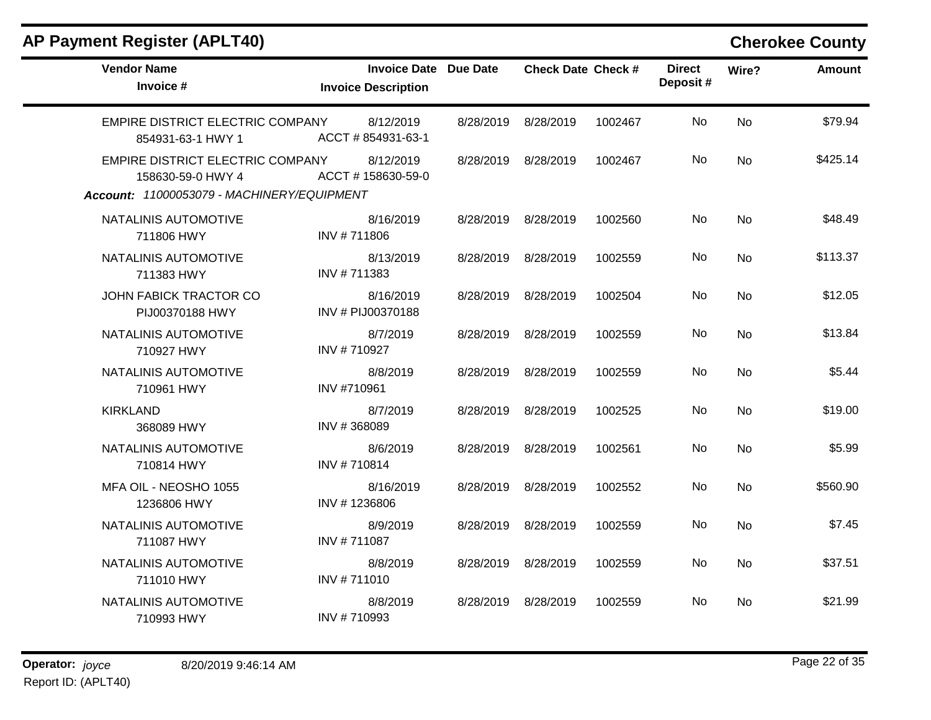| <b>Vendor Name</b><br>Invoice #                                                                     | <b>Invoice Date Due Date</b><br><b>Invoice Description</b> |           | <b>Check Date Check #</b> |         | <b>Direct</b><br>Deposit# | Wire?          | <b>Amount</b> |
|-----------------------------------------------------------------------------------------------------|------------------------------------------------------------|-----------|---------------------------|---------|---------------------------|----------------|---------------|
| EMPIRE DISTRICT ELECTRIC COMPANY<br>854931-63-1 HWY 1                                               | 8/12/2019<br>ACCT # 854931-63-1                            | 8/28/2019 | 8/28/2019                 | 1002467 | No.                       | <b>No</b>      | \$79.94       |
| EMPIRE DISTRICT ELECTRIC COMPANY<br>158630-59-0 HWY 4<br>Account: 11000053079 - MACHINERY/EQUIPMENT | 8/12/2019<br>ACCT #158630-59-0                             | 8/28/2019 | 8/28/2019                 | 1002467 | No.                       | <b>No</b>      | \$425.14      |
| NATALINIS AUTOMOTIVE<br>711806 HWY                                                                  | 8/16/2019<br>INV #711806                                   | 8/28/2019 | 8/28/2019                 | 1002560 | No                        | <b>No</b>      | \$48.49       |
| NATALINIS AUTOMOTIVE<br>711383 HWY                                                                  | 8/13/2019<br>INV #711383                                   | 8/28/2019 | 8/28/2019                 | 1002559 | No.                       | <b>No</b>      | \$113.37      |
| JOHN FABICK TRACTOR CO<br>PIJ00370188 HWY                                                           | 8/16/2019<br>INV # PIJ00370188                             | 8/28/2019 | 8/28/2019                 | 1002504 | No                        | <b>No</b>      | \$12.05       |
| NATALINIS AUTOMOTIVE<br>710927 HWY                                                                  | 8/7/2019<br>INV #710927                                    | 8/28/2019 | 8/28/2019                 | 1002559 | No                        | <b>No</b>      | \$13.84       |
| NATALINIS AUTOMOTIVE<br>710961 HWY                                                                  | 8/8/2019<br>INV #710961                                    | 8/28/2019 | 8/28/2019                 | 1002559 | No.                       | <b>No</b>      | \$5.44        |
| <b>KIRKLAND</b><br>368089 HWY                                                                       | 8/7/2019<br>INV #368089                                    | 8/28/2019 | 8/28/2019                 | 1002525 | No.                       | <b>No</b>      | \$19.00       |
| NATALINIS AUTOMOTIVE<br>710814 HWY                                                                  | 8/6/2019<br>INV #710814                                    | 8/28/2019 | 8/28/2019                 | 1002561 | No                        | N <sub>0</sub> | \$5.99        |
| MFA OIL - NEOSHO 1055<br>1236806 HWY                                                                | 8/16/2019<br>INV #1236806                                  | 8/28/2019 | 8/28/2019                 | 1002552 | No.                       | <b>No</b>      | \$560.90      |
| NATALINIS AUTOMOTIVE<br>711087 HWY                                                                  | 8/9/2019<br>INV #711087                                    | 8/28/2019 | 8/28/2019                 | 1002559 | No                        | No             | \$7.45        |
| NATALINIS AUTOMOTIVE<br>711010 HWY                                                                  | 8/8/2019<br>INV #711010                                    | 8/28/2019 | 8/28/2019                 | 1002559 | No                        | <b>No</b>      | \$37.51       |
| NATALINIS AUTOMOTIVE<br>710993 HWY                                                                  | 8/8/2019<br>INV #710993                                    | 8/28/2019 | 8/28/2019                 | 1002559 | No.                       | No             | \$21.99       |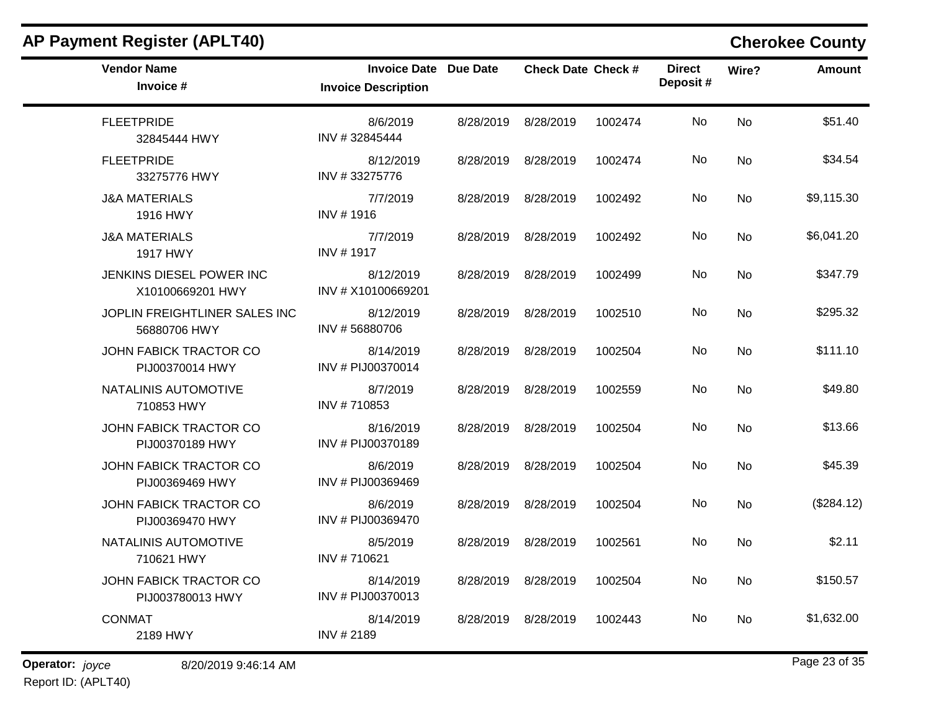| <b>Vendor Name</b><br>Invoice #                  | <b>Invoice Date Due Date</b><br><b>Invoice Description</b> |           | <b>Check Date Check #</b> |         | <b>Direct</b><br>Deposit# | Wire?          | <b>Amount</b> |
|--------------------------------------------------|------------------------------------------------------------|-----------|---------------------------|---------|---------------------------|----------------|---------------|
| <b>FLEETPRIDE</b><br>32845444 HWY                | 8/6/2019<br>INV #32845444                                  | 8/28/2019 | 8/28/2019                 | 1002474 | <b>No</b>                 | <b>No</b>      | \$51.40       |
| <b>FLEETPRIDE</b><br>33275776 HWY                | 8/12/2019<br>INV #33275776                                 | 8/28/2019 | 8/28/2019                 | 1002474 | No                        | No.            | \$34.54       |
| <b>J&amp;A MATERIALS</b><br>1916 HWY             | 7/7/2019<br>INV #1916                                      | 8/28/2019 | 8/28/2019                 | 1002492 | <b>No</b>                 | <b>No</b>      | \$9,115.30    |
| <b>J&amp;A MATERIALS</b><br>1917 HWY             | 7/7/2019<br>INV #1917                                      | 8/28/2019 | 8/28/2019                 | 1002492 | No                        | <b>No</b>      | \$6,041.20    |
| JENKINS DIESEL POWER INC<br>X10100669201 HWY     | 8/12/2019<br>INV # X10100669201                            | 8/28/2019 | 8/28/2019                 | 1002499 | No.                       | <b>No</b>      | \$347.79      |
| JOPLIN FREIGHTLINER SALES INC<br>56880706 HWY    | 8/12/2019<br>INV #56880706                                 | 8/28/2019 | 8/28/2019                 | 1002510 | <b>No</b>                 | <b>No</b>      | \$295.32      |
| JOHN FABICK TRACTOR CO<br>PIJ00370014 HWY        | 8/14/2019<br>INV # PIJ00370014                             |           | 8/28/2019 8/28/2019       | 1002504 | No.                       | No             | \$111.10      |
| NATALINIS AUTOMOTIVE<br>710853 HWY               | 8/7/2019<br>INV #710853                                    | 8/28/2019 | 8/28/2019                 | 1002559 | No                        | No             | \$49.80       |
| <b>JOHN FABICK TRACTOR CO</b><br>PIJ00370189 HWY | 8/16/2019<br>INV # PIJ00370189                             | 8/28/2019 | 8/28/2019                 | 1002504 | No.                       | N <sub>o</sub> | \$13.66       |
| JOHN FABICK TRACTOR CO<br>PIJ00369469 HWY        | 8/6/2019<br>INV # PIJ00369469                              |           | 8/28/2019 8/28/2019       | 1002504 | No.                       | N <sub>o</sub> | \$45.39       |
| JOHN FABICK TRACTOR CO<br>PIJ00369470 HWY        | 8/6/2019<br>INV # PIJ00369470                              | 8/28/2019 | 8/28/2019                 | 1002504 | No                        | <b>No</b>      | (\$284.12)    |
| NATALINIS AUTOMOTIVE<br>710621 HWY               | 8/5/2019<br>INV #710621                                    | 8/28/2019 | 8/28/2019                 | 1002561 | No                        | N <sub>o</sub> | \$2.11        |
| JOHN FABICK TRACTOR CO<br>PIJ003780013 HWY       | 8/14/2019<br>INV # PIJ00370013                             |           | 8/28/2019 8/28/2019       | 1002504 | No.                       | No             | \$150.57      |
| <b>CONMAT</b><br>2189 HWY                        | 8/14/2019<br>INV #2189                                     | 8/28/2019 | 8/28/2019                 | 1002443 | No                        | <b>No</b>      | \$1,632.00    |

**Operator:** joyce 8/20/2019 9:46:14 AM Report ID: (APLT40)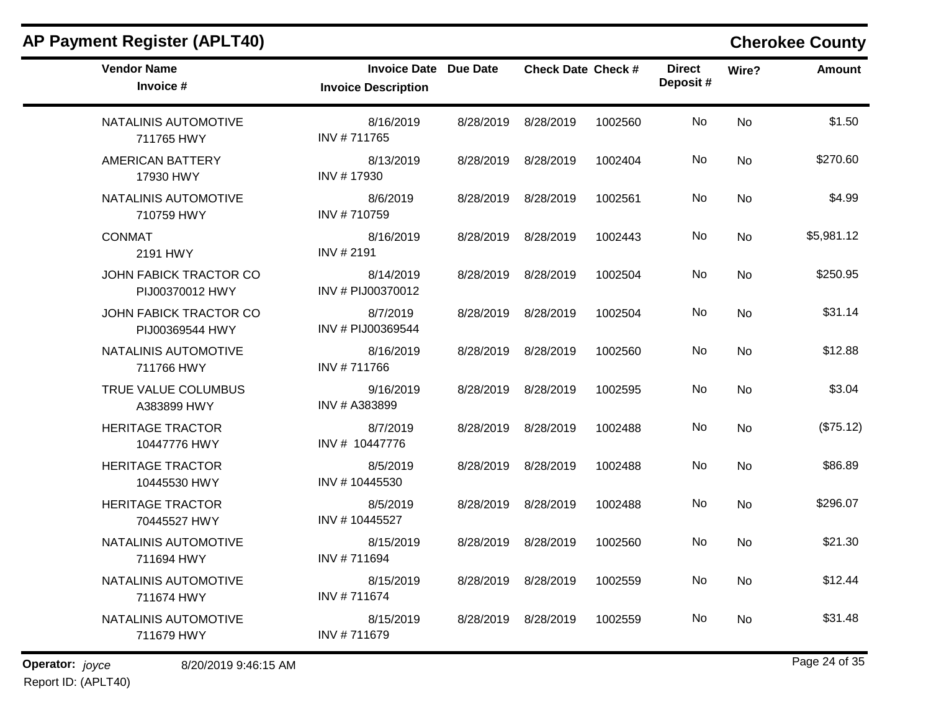| AP Payment Register (APLT40)                     |                                                            |           |                           |         |                           |           | <b>Cherokee County</b> |
|--------------------------------------------------|------------------------------------------------------------|-----------|---------------------------|---------|---------------------------|-----------|------------------------|
| <b>Vendor Name</b><br>Invoice #                  | <b>Invoice Date Due Date</b><br><b>Invoice Description</b> |           | <b>Check Date Check #</b> |         | <b>Direct</b><br>Deposit# | Wire?     | Amount                 |
| NATALINIS AUTOMOTIVE<br>711765 HWY               | 8/16/2019<br>INV #711765                                   | 8/28/2019 | 8/28/2019                 | 1002560 | No                        | <b>No</b> | \$1.50                 |
| <b>AMERICAN BATTERY</b><br>17930 HWY             | 8/13/2019<br>INV #17930                                    | 8/28/2019 | 8/28/2019                 | 1002404 | No                        | No        | \$270.60               |
| NATALINIS AUTOMOTIVE<br>710759 HWY               | 8/6/2019<br>INV #710759                                    |           | 8/28/2019 8/28/2019       | 1002561 | No                        | No        | \$4.99                 |
| <b>CONMAT</b><br>2191 HWY                        | 8/16/2019<br>INV #2191                                     | 8/28/2019 | 8/28/2019                 | 1002443 | No                        | No        | \$5,981.12             |
| <b>JOHN FABICK TRACTOR CO</b><br>PIJ00370012 HWY | 8/14/2019<br>INV # PIJ00370012                             | 8/28/2019 | 8/28/2019                 | 1002504 | No                        | <b>No</b> | \$250.95               |
| <b>JOHN FABICK TRACTOR CO</b><br>PIJ00369544 HWY | 8/7/2019<br>INV # PIJ00369544                              | 8/28/2019 | 8/28/2019                 | 1002504 | No                        | <b>No</b> | \$31.14                |
| NATALINIS AUTOMOTIVE<br>711766 HWY               | 8/16/2019<br>INV #711766                                   |           | 8/28/2019 8/28/2019       | 1002560 | No                        | No        | \$12.88                |
| TRUE VALUE COLUMBUS<br>A383899 HWY               | 9/16/2019<br>INV # A383899                                 | 8/28/2019 | 8/28/2019                 | 1002595 | No                        | <b>No</b> | \$3.04                 |
| <b>HERITAGE TRACTOR</b><br>10447776 HWY          | 8/7/2019<br>INV # 10447776                                 | 8/28/2019 | 8/28/2019                 | 1002488 | No                        | <b>No</b> | (\$75.12)              |
| <b>HERITAGE TRACTOR</b><br>10445530 HWY          | 8/5/2019<br>INV #10445530                                  | 8/28/2019 | 8/28/2019                 | 1002488 | No                        | No        | \$86.89                |
| <b>HERITAGE TRACTOR</b><br>70445527 HWY          | 8/5/2019<br>INV #10445527                                  | 8/28/2019 | 8/28/2019                 | 1002488 | No                        | No        | \$296.07               |
| NATALINIS AUTOMOTIVE<br>711694 HWY               | 8/15/2019<br>INV #711694                                   | 8/28/2019 | 8/28/2019                 | 1002560 | No                        | <b>No</b> | \$21.30                |
| NATALINIS AUTOMOTIVE<br>711674 HWY               | 8/15/2019<br>INV #711674                                   |           | 8/28/2019 8/28/2019       | 1002559 | No                        | No        | \$12.44                |
| NATALINIS AUTOMOTIVE<br>711679 HWY               | 8/15/2019<br>INV #711679                                   |           | 8/28/2019 8/28/2019       | 1002559 | No                        | No        | \$31.48                |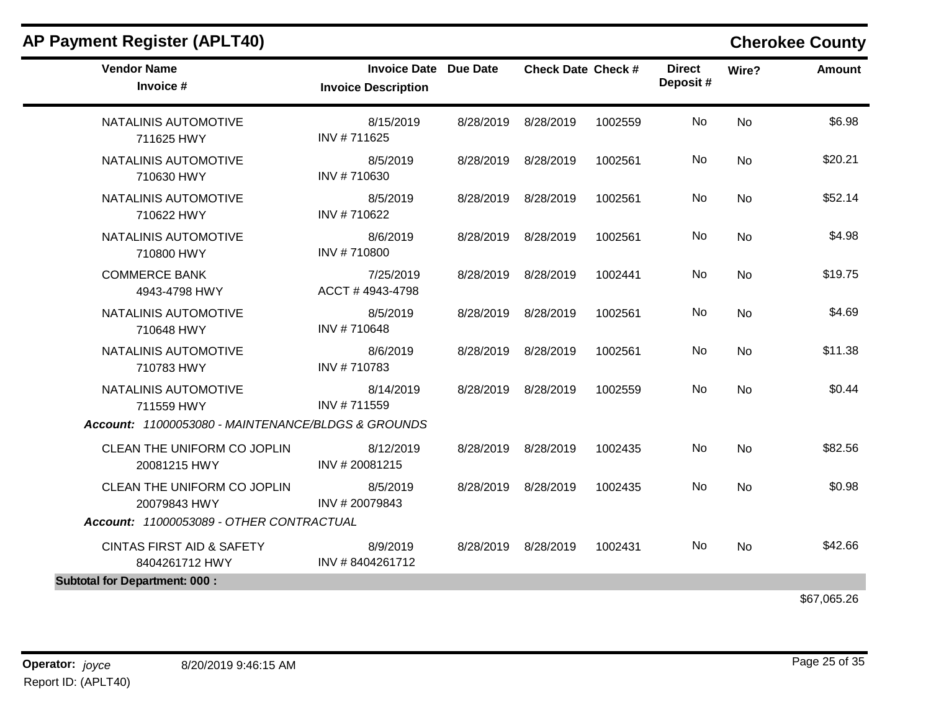| <b>Vendor Name</b><br>Invoice #                        | <b>Invoice Date Due Date</b><br><b>Invoice Description</b> |           | <b>Check Date Check #</b> |         | <b>Direct</b><br>Deposit# | Wire?     | <b>Amount</b> |
|--------------------------------------------------------|------------------------------------------------------------|-----------|---------------------------|---------|---------------------------|-----------|---------------|
| NATALINIS AUTOMOTIVE<br>711625 HWY                     | 8/15/2019<br>INV #711625                                   |           | 8/28/2019 8/28/2019       | 1002559 | No                        | <b>No</b> | \$6.98        |
| NATALINIS AUTOMOTIVE<br>710630 HWY                     | 8/5/2019<br>INV #710630                                    |           | 8/28/2019 8/28/2019       | 1002561 | No                        | No        | \$20.21       |
| NATALINIS AUTOMOTIVE<br>710622 HWY                     | 8/5/2019<br>INV #710622                                    |           | 8/28/2019 8/28/2019       | 1002561 | No.                       | No        | \$52.14       |
| NATALINIS AUTOMOTIVE<br>710800 HWY                     | 8/6/2019<br>INV #710800                                    |           | 8/28/2019 8/28/2019       | 1002561 | No                        | <b>No</b> | \$4.98        |
| <b>COMMERCE BANK</b><br>4943-4798 HWY                  | 7/25/2019<br>ACCT #4943-4798                               |           | 8/28/2019 8/28/2019       | 1002441 | No                        | <b>No</b> | \$19.75       |
| NATALINIS AUTOMOTIVE<br>710648 HWY                     | 8/5/2019<br>INV #710648                                    | 8/28/2019 | 8/28/2019                 | 1002561 | No                        | No        | \$4.69        |
| NATALINIS AUTOMOTIVE<br>710783 HWY                     | 8/6/2019<br>INV #710783                                    |           | 8/28/2019 8/28/2019       | 1002561 | No                        | <b>No</b> | \$11.38       |
| NATALINIS AUTOMOTIVE<br>711559 HWY                     | 8/14/2019<br>INV #711559                                   |           | 8/28/2019 8/28/2019       | 1002559 | No                        | No        | \$0.44        |
| Account: 11000053080 - MAINTENANCE/BLDGS & GROUNDS     |                                                            |           |                           |         |                           |           |               |
| CLEAN THE UNIFORM CO JOPLIN<br>20081215 HWY            | 8/12/2019<br>INV #20081215                                 |           | 8/28/2019 8/28/2019       | 1002435 | No                        | <b>No</b> | \$82.56       |
| CLEAN THE UNIFORM CO JOPLIN<br>20079843 HWY            | 8/5/2019<br>INV #20079843                                  |           | 8/28/2019 8/28/2019       | 1002435 | No                        | No        | \$0.98        |
| Account: 11000053089 - OTHER CONTRACTUAL               |                                                            |           |                           |         |                           |           |               |
| <b>CINTAS FIRST AID &amp; SAFETY</b><br>8404261712 HWY | 8/9/2019<br>INV #8404261712                                |           | 8/28/2019 8/28/2019       | 1002431 | No                        | <b>No</b> | \$42.66       |
| <b>Subtotal for Department: 000:</b>                   |                                                            |           |                           |         |                           |           |               |
|                                                        |                                                            |           |                           |         |                           |           | \$67,065.26   |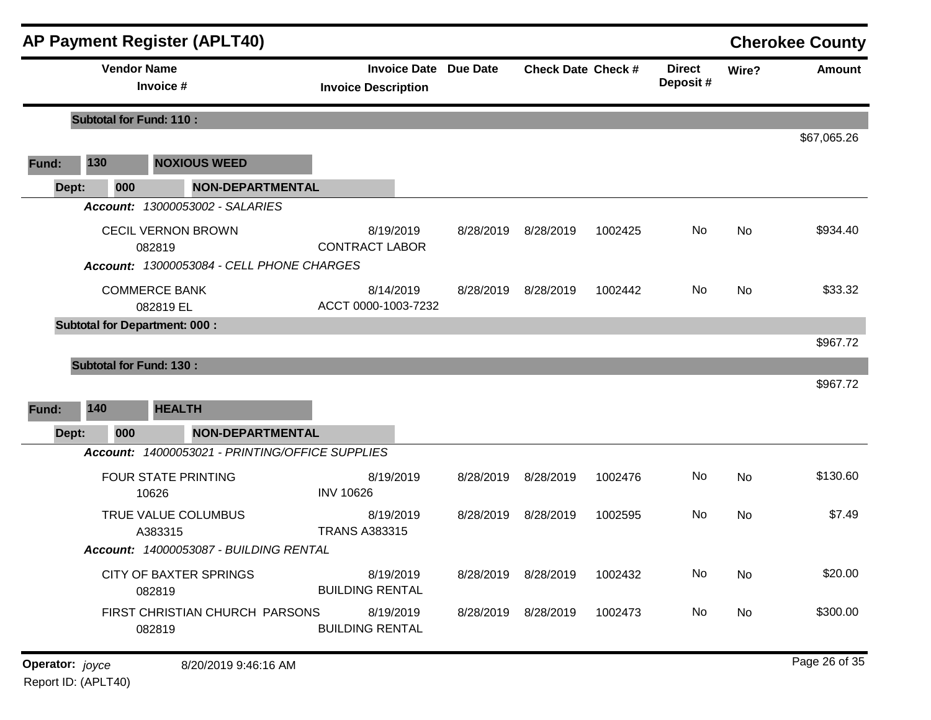|                |                                      |                                   | <b>AP Payment Register (APLT40)</b>                                                                       |                                     |                              |                           |         |                           |           | <b>Cherokee County</b> |
|----------------|--------------------------------------|-----------------------------------|-----------------------------------------------------------------------------------------------------------|-------------------------------------|------------------------------|---------------------------|---------|---------------------------|-----------|------------------------|
|                |                                      | <b>Vendor Name</b><br>Invoice #   |                                                                                                           | <b>Invoice Description</b>          | <b>Invoice Date Due Date</b> | <b>Check Date Check #</b> |         | <b>Direct</b><br>Deposit# | Wire?     | <b>Amount</b>          |
|                | <b>Subtotal for Fund: 110:</b>       |                                   |                                                                                                           |                                     |                              |                           |         |                           |           |                        |
| Fund:          | 130                                  |                                   | <b>NOXIOUS WEED</b>                                                                                       |                                     |                              |                           |         |                           |           | \$67,065.26            |
| Dept:          | 000                                  |                                   | <b>NON-DEPARTMENTAL</b>                                                                                   |                                     |                              |                           |         |                           |           |                        |
|                |                                      | 082819                            | Account: 13000053002 - SALARIES<br><b>CECIL VERNON BROWN</b><br>Account: 13000053084 - CELL PHONE CHARGES | 8/19/2019<br><b>CONTRACT LABOR</b>  | 8/28/2019                    | 8/28/2019                 | 1002425 | No                        | <b>No</b> | \$934.40               |
|                |                                      | <b>COMMERCE BANK</b><br>082819 EL |                                                                                                           | 8/14/2019<br>ACCT 0000-1003-7232    | 8/28/2019                    | 8/28/2019                 | 1002442 | No                        | <b>No</b> | \$33.32                |
|                | <b>Subtotal for Department: 000:</b> |                                   |                                                                                                           |                                     |                              |                           |         |                           |           | \$967.72               |
|                | <b>Subtotal for Fund: 130:</b>       |                                   |                                                                                                           |                                     |                              |                           |         |                           |           | \$967.72               |
|                | 140                                  | <b>HEALTH</b>                     |                                                                                                           |                                     |                              |                           |         |                           |           |                        |
| Fund:<br>Dept: | 000                                  |                                   | <b>NON-DEPARTMENTAL</b>                                                                                   |                                     |                              |                           |         |                           |           |                        |
|                |                                      |                                   | Account: 14000053021 - PRINTING/OFFICE SUPPLIES                                                           |                                     |                              |                           |         |                           |           |                        |
|                |                                      | 10626                             | <b>FOUR STATE PRINTING</b>                                                                                | 8/19/2019<br><b>INV 10626</b>       | 8/28/2019                    | 8/28/2019                 | 1002476 | No                        | <b>No</b> | \$130.60               |
|                |                                      | A383315                           | TRUE VALUE COLUMBUS<br>Account: 14000053087 - BUILDING RENTAL                                             | 8/19/2019<br><b>TRANS A383315</b>   | 8/28/2019                    | 8/28/2019                 | 1002595 | No                        | <b>No</b> | \$7.49                 |
|                |                                      | 082819                            | <b>CITY OF BAXTER SPRINGS</b>                                                                             | 8/19/2019<br><b>BUILDING RENTAL</b> |                              | 8/28/2019 8/28/2019       | 1002432 | No                        | <b>No</b> | \$20.00                |
|                |                                      | 082819                            | FIRST CHRISTIAN CHURCH PARSONS                                                                            | 8/19/2019<br><b>BUILDING RENTAL</b> |                              | 8/28/2019 8/28/2019       | 1002473 | No                        | No        | \$300.00               |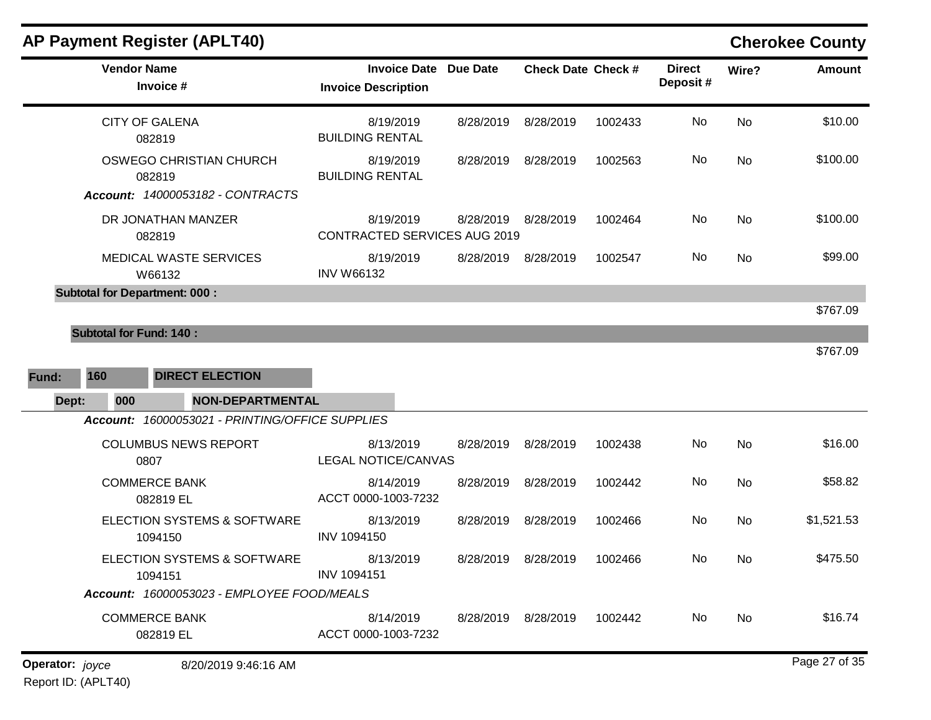| <b>Vendor Name</b><br>Invoice #                                                   | <b>Invoice Date Due Date</b><br><b>Invoice Description</b> |                     | <b>Check Date Check #</b> |         | <b>Direct</b><br>Deposit# | Wire?     | Amount     |
|-----------------------------------------------------------------------------------|------------------------------------------------------------|---------------------|---------------------------|---------|---------------------------|-----------|------------|
| <b>CITY OF GALENA</b><br>082819                                                   | 8/19/2019<br><b>BUILDING RENTAL</b>                        | 8/28/2019           | 8/28/2019                 | 1002433 | <b>No</b>                 | No        | \$10.00    |
| OSWEGO CHRISTIAN CHURCH<br>082819<br>Account: 14000053182 - CONTRACTS             | 8/19/2019<br><b>BUILDING RENTAL</b>                        | 8/28/2019           | 8/28/2019                 | 1002563 | No                        | <b>No</b> | \$100.00   |
| DR JONATHAN MANZER<br>082819                                                      | 8/19/2019<br><b>CONTRACTED SERVICES AUG 2019</b>           | 8/28/2019 8/28/2019 |                           | 1002464 | No                        | <b>No</b> | \$100.00   |
| <b>MEDICAL WASTE SERVICES</b><br>W66132                                           | 8/19/2019<br><b>INV W66132</b>                             |                     | 8/28/2019 8/28/2019       | 1002547 | No.                       | <b>No</b> | \$99.00    |
| <b>Subtotal for Department: 000:</b>                                              |                                                            |                     |                           |         |                           |           |            |
|                                                                                   |                                                            |                     |                           |         |                           |           | \$767.09   |
| <b>Subtotal for Fund: 140:</b>                                                    |                                                            |                     |                           |         |                           |           |            |
| 160<br><b>DIRECT ELECTION</b><br>Fund:<br><b>NON-DEPARTMENTAL</b><br>Dept:<br>000 |                                                            |                     |                           |         |                           |           | \$767.09   |
| Account: 16000053021 - PRINTING/OFFICE SUPPLIES                                   |                                                            |                     |                           |         |                           |           |            |
|                                                                                   |                                                            |                     |                           |         |                           |           |            |
| <b>COLUMBUS NEWS REPORT</b><br>0807                                               | 8/13/2019<br><b>LEGAL NOTICE/CANVAS</b>                    | 8/28/2019           | 8/28/2019                 | 1002438 | <b>No</b>                 | <b>No</b> | \$16.00    |
| <b>COMMERCE BANK</b><br>082819 EL                                                 | 8/14/2019<br>ACCT 0000-1003-7232                           | 8/28/2019           | 8/28/2019                 | 1002442 | No.                       | <b>No</b> | \$58.82    |
| ELECTION SYSTEMS & SOFTWARE<br>1094150                                            | 8/13/2019<br>INV 1094150                                   | 8/28/2019           | 8/28/2019                 | 1002466 | No.                       | <b>No</b> | \$1,521.53 |
| ELECTION SYSTEMS & SOFTWARE<br>1094151                                            | 8/13/2019<br><b>INV 1094151</b>                            | 8/28/2019 8/28/2019 |                           | 1002466 | No.                       | <b>No</b> | \$475.50   |
| Account: 16000053023 - EMPLOYEE FOOD/MEALS                                        |                                                            |                     |                           |         |                           |           |            |
| <b>COMMERCE BANK</b><br>082819 EL                                                 | 8/14/2019<br>ACCT 0000-1003-7232                           | 8/28/2019 8/28/2019 |                           | 1002442 | No.                       | <b>No</b> | \$16.74    |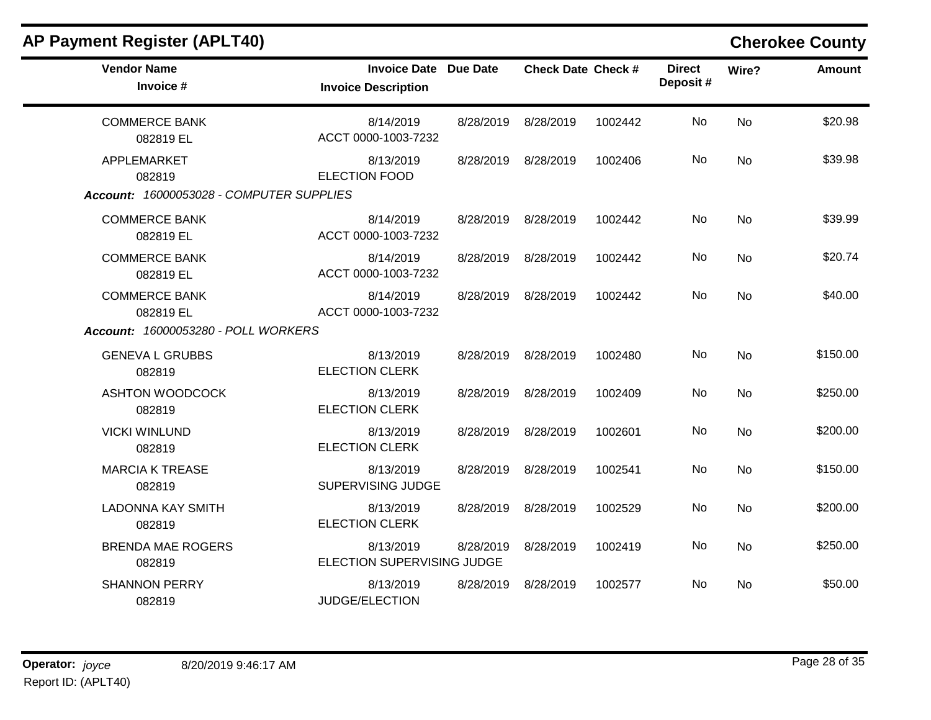| <b>AP Payment Register (APLT40)</b>                               |                                                            |           |                           |         |                           |           | <b>Cherokee County</b> |
|-------------------------------------------------------------------|------------------------------------------------------------|-----------|---------------------------|---------|---------------------------|-----------|------------------------|
| <b>Vendor Name</b><br>Invoice #                                   | <b>Invoice Date Due Date</b><br><b>Invoice Description</b> |           | <b>Check Date Check #</b> |         | <b>Direct</b><br>Deposit# | Wire?     | <b>Amount</b>          |
| <b>COMMERCE BANK</b><br>082819 EL                                 | 8/14/2019<br>ACCT 0000-1003-7232                           | 8/28/2019 | 8/28/2019                 | 1002442 | No                        | <b>No</b> | \$20.98                |
| APPLEMARKET<br>082819<br>Account: 16000053028 - COMPUTER SUPPLIES | 8/13/2019<br><b>ELECTION FOOD</b>                          | 8/28/2019 | 8/28/2019                 | 1002406 | No                        | No        | \$39.98                |
| <b>COMMERCE BANK</b><br>082819 EL                                 | 8/14/2019<br>ACCT 0000-1003-7232                           | 8/28/2019 | 8/28/2019                 | 1002442 | No                        | <b>No</b> | \$39.99                |
| <b>COMMERCE BANK</b><br>082819 EL                                 | 8/14/2019<br>ACCT 0000-1003-7232                           | 8/28/2019 | 8/28/2019                 | 1002442 | No                        | No        | \$20.74                |
| <b>COMMERCE BANK</b><br>082819 EL                                 | 8/14/2019<br>ACCT 0000-1003-7232                           | 8/28/2019 | 8/28/2019                 | 1002442 | No                        | No        | \$40.00                |
| Account: 16000053280 - POLL WORKERS                               |                                                            |           |                           |         |                           |           |                        |
| <b>GENEVA L GRUBBS</b><br>082819                                  | 8/13/2019<br><b>ELECTION CLERK</b>                         | 8/28/2019 | 8/28/2019                 | 1002480 | No.                       | <b>No</b> | \$150.00               |
| <b>ASHTON WOODCOCK</b><br>082819                                  | 8/13/2019<br><b>ELECTION CLERK</b>                         | 8/28/2019 | 8/28/2019                 | 1002409 | No                        | <b>No</b> | \$250.00               |
| <b>VICKI WINLUND</b><br>082819                                    | 8/13/2019<br><b>ELECTION CLERK</b>                         | 8/28/2019 | 8/28/2019                 | 1002601 | No                        | No        | \$200.00               |
| <b>MARCIA K TREASE</b><br>082819                                  | 8/13/2019<br>SUPERVISING JUDGE                             | 8/28/2019 | 8/28/2019                 | 1002541 | No                        | <b>No</b> | \$150.00               |
| <b>LADONNA KAY SMITH</b><br>082819                                | 8/13/2019<br><b>ELECTION CLERK</b>                         | 8/28/2019 | 8/28/2019                 | 1002529 | No                        | No        | \$200.00               |
| <b>BRENDA MAE ROGERS</b><br>082819                                | 8/13/2019<br>ELECTION SUPERVISING JUDGE                    | 8/28/2019 | 8/28/2019                 | 1002419 | No                        | <b>No</b> | \$250.00               |
| <b>SHANNON PERRY</b><br>082819                                    | 8/13/2019<br>JUDGE/ELECTION                                | 8/28/2019 | 8/28/2019                 | 1002577 | No.                       | No        | \$50.00                |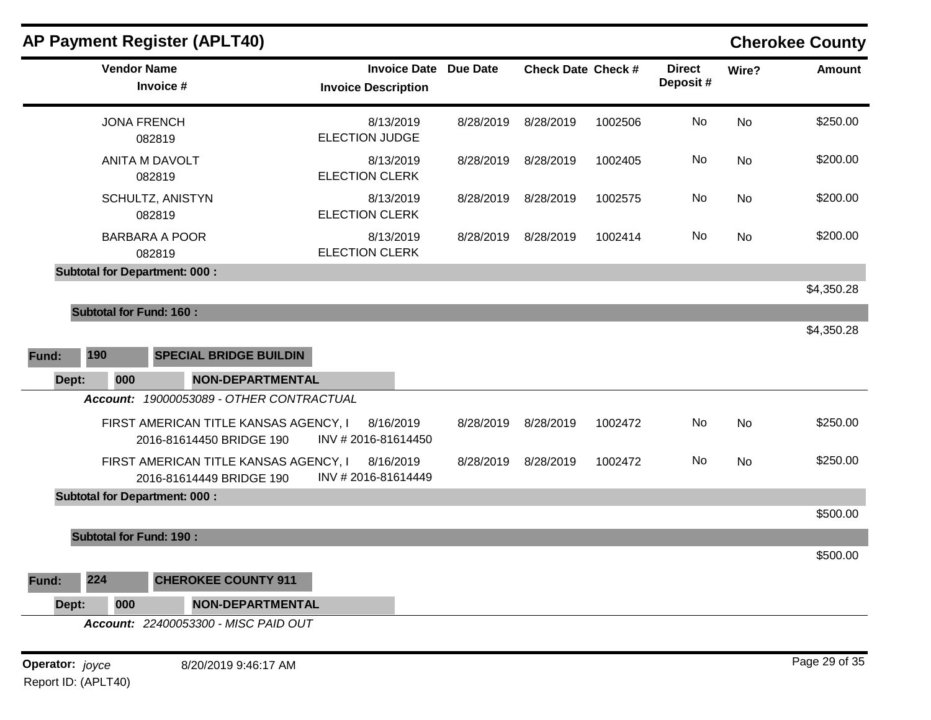|                | <b>Vendor Name</b>                   | Invoice #                                                         | <b>Invoice Date Due Date</b><br><b>Invoice Description</b> |           | <b>Check Date Check #</b> |         | <b>Direct</b><br>Deposit# | Wire?     | <b>Amount</b>                      |
|----------------|--------------------------------------|-------------------------------------------------------------------|------------------------------------------------------------|-----------|---------------------------|---------|---------------------------|-----------|------------------------------------|
|                | <b>JONA FRENCH</b><br>082819         |                                                                   | 8/13/2019<br><b>ELECTION JUDGE</b>                         | 8/28/2019 | 8/28/2019                 | 1002506 | No                        | <b>No</b> | \$250.00                           |
|                | ANITA M DAVOLT<br>082819             |                                                                   | 8/13/2019<br><b>ELECTION CLERK</b>                         | 8/28/2019 | 8/28/2019                 | 1002405 | No                        | No        | \$200.00                           |
|                | SCHULTZ, ANISTYN<br>082819           |                                                                   | 8/13/2019<br><b>ELECTION CLERK</b>                         | 8/28/2019 | 8/28/2019                 | 1002575 | No.                       | No.       | \$200.00                           |
|                | <b>BARBARA A POOR</b><br>082819      |                                                                   | 8/13/2019<br><b>ELECTION CLERK</b>                         | 8/28/2019 | 8/28/2019                 | 1002414 | No.                       | No        | \$200.00                           |
|                | <b>Subtotal for Department: 000:</b> |                                                                   |                                                            |           |                           |         |                           |           |                                    |
|                |                                      |                                                                   |                                                            |           |                           |         |                           |           | \$4,350.28                         |
|                | <b>Subtotal for Fund: 160:</b>       |                                                                   |                                                            |           |                           |         |                           |           |                                    |
|                |                                      |                                                                   |                                                            |           |                           |         |                           |           |                                    |
|                | 190                                  | <b>SPECIAL BRIDGE BUILDIN</b>                                     |                                                            |           |                           |         |                           |           |                                    |
| Dept:          | 000                                  | <b>NON-DEPARTMENTAL</b>                                           |                                                            |           |                           |         |                           |           |                                    |
|                |                                      | Account: 19000053089 - OTHER CONTRACTUAL                          |                                                            |           |                           |         |                           |           |                                    |
|                |                                      | FIRST AMERICAN TITLE KANSAS AGENCY, I<br>2016-81614450 BRIDGE 190 | 8/16/2019<br>INV #2016-81614450                            | 8/28/2019 | 8/28/2019                 | 1002472 | No                        | <b>No</b> |                                    |
|                |                                      | FIRST AMERICAN TITLE KANSAS AGENCY, I<br>2016-81614449 BRIDGE 190 | 8/16/2019<br>INV #2016-81614449                            | 8/28/2019 | 8/28/2019                 | 1002472 | No                        | <b>No</b> | \$4,350.28<br>\$250.00<br>\$250.00 |
|                | <b>Subtotal for Department: 000:</b> |                                                                   |                                                            |           |                           |         |                           |           |                                    |
|                |                                      |                                                                   |                                                            |           |                           |         |                           |           |                                    |
|                | <b>Subtotal for Fund: 190:</b>       |                                                                   |                                                            |           |                           |         |                           |           |                                    |
|                |                                      |                                                                   |                                                            |           |                           |         |                           |           |                                    |
| Fund:<br>Fund: | 224                                  | <b>CHEROKEE COUNTY 911</b>                                        |                                                            |           |                           |         |                           |           | \$500.00<br>\$500.00               |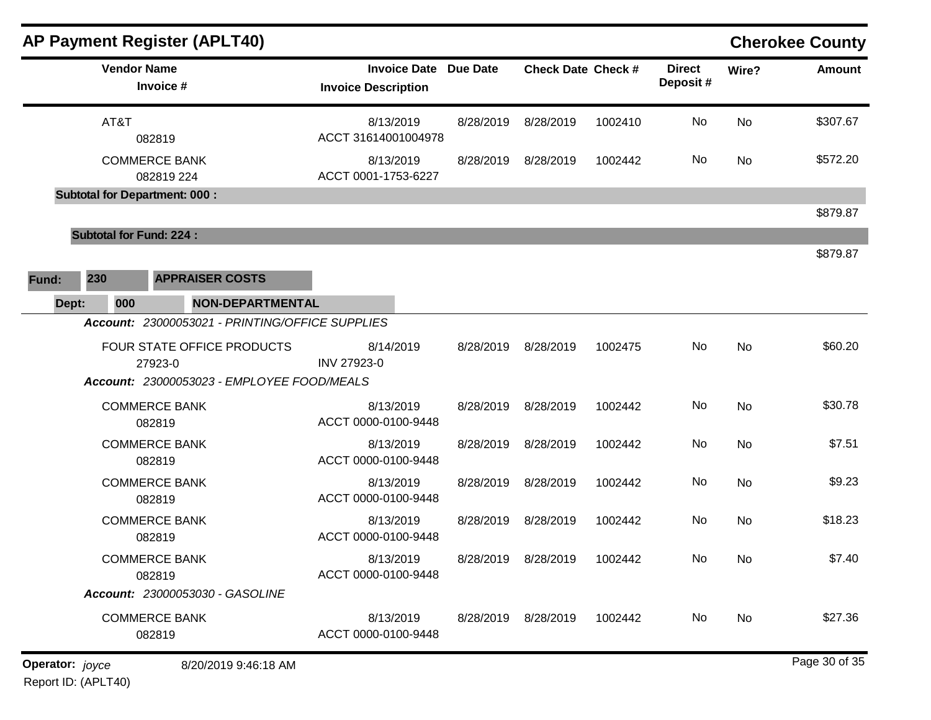|                 |                                | AP Payment Register (APLT40)         |                                                 |                                  |                     |                 |                           |         |                           |       | <b>Cherokee County</b> |
|-----------------|--------------------------------|--------------------------------------|-------------------------------------------------|----------------------------------|---------------------|-----------------|---------------------------|---------|---------------------------|-------|------------------------|
|                 | <b>Vendor Name</b>             | Invoice #                            |                                                 | <b>Invoice Description</b>       | <b>Invoice Date</b> | <b>Due Date</b> | <b>Check Date Check #</b> |         | <b>Direct</b><br>Deposit# | Wire? | <b>Amount</b>          |
|                 | AT&T                           | 082819                               |                                                 | 8/13/2019<br>ACCT 31614001004978 |                     | 8/28/2019       | 8/28/2019                 | 1002410 | No                        | No    | \$307.67               |
|                 |                                | <b>COMMERCE BANK</b><br>082819 224   |                                                 | 8/13/2019<br>ACCT 0001-1753-6227 |                     | 8/28/2019       | 8/28/2019                 | 1002442 | No                        | No    | \$572.20               |
|                 |                                | <b>Subtotal for Department: 000:</b> |                                                 |                                  |                     |                 |                           |         |                           |       |                        |
|                 |                                |                                      |                                                 |                                  |                     |                 |                           |         |                           |       | \$879.87               |
|                 | <b>Subtotal for Fund: 224:</b> |                                      |                                                 |                                  |                     |                 |                           |         |                           |       |                        |
|                 |                                |                                      |                                                 |                                  |                     |                 |                           |         |                           |       | \$879.87               |
| Fund:           | 230                            | <b>APPRAISER COSTS</b>               |                                                 |                                  |                     |                 |                           |         |                           |       |                        |
| Dept:           | 000                            |                                      | <b>NON-DEPARTMENTAL</b>                         |                                  |                     |                 |                           |         |                           |       |                        |
|                 |                                |                                      | Account: 23000053021 - PRINTING/OFFICE SUPPLIES |                                  |                     |                 |                           |         |                           |       |                        |
|                 |                                | 27923-0                              | FOUR STATE OFFICE PRODUCTS                      | 8/14/2019<br>INV 27923-0         |                     | 8/28/2019       | 8/28/2019                 | 1002475 | No                        | No    | \$60.20                |
|                 |                                |                                      | Account: 23000053023 - EMPLOYEE FOOD/MEALS      |                                  |                     |                 |                           |         |                           |       |                        |
|                 |                                | <b>COMMERCE BANK</b><br>082819       |                                                 | 8/13/2019<br>ACCT 0000-0100-9448 |                     | 8/28/2019       | 8/28/2019                 | 1002442 | No                        | No    | \$30.78                |
|                 |                                | <b>COMMERCE BANK</b><br>082819       |                                                 | 8/13/2019<br>ACCT 0000-0100-9448 |                     | 8/28/2019       | 8/28/2019                 | 1002442 | No                        | No    | \$7.51                 |
|                 |                                | <b>COMMERCE BANK</b><br>082819       |                                                 | 8/13/2019<br>ACCT 0000-0100-9448 |                     | 8/28/2019       | 8/28/2019                 | 1002442 | No                        | No    | \$9.23                 |
|                 |                                | <b>COMMERCE BANK</b><br>082819       |                                                 | 8/13/2019<br>ACCT 0000-0100-9448 |                     | 8/28/2019       | 8/28/2019                 | 1002442 | No                        | No    | \$18.23                |
|                 |                                | <b>COMMERCE BANK</b><br>082819       |                                                 | 8/13/2019<br>ACCT 0000-0100-9448 |                     |                 | 8/28/2019 8/28/2019       | 1002442 | No                        | No    | \$7.40                 |
|                 |                                |                                      | Account: 23000053030 - GASOLINE                 |                                  |                     |                 |                           |         |                           |       |                        |
|                 |                                | <b>COMMERCE BANK</b><br>082819       |                                                 | 8/13/2019<br>ACCT 0000-0100-9448 |                     |                 | 8/28/2019 8/28/2019       | 1002442 | No.                       | No    | \$27.36                |
| Operator: joyce |                                |                                      | 8/20/2019 9:46:18 AM                            |                                  |                     |                 |                           |         |                           |       | Page 30 of 35          |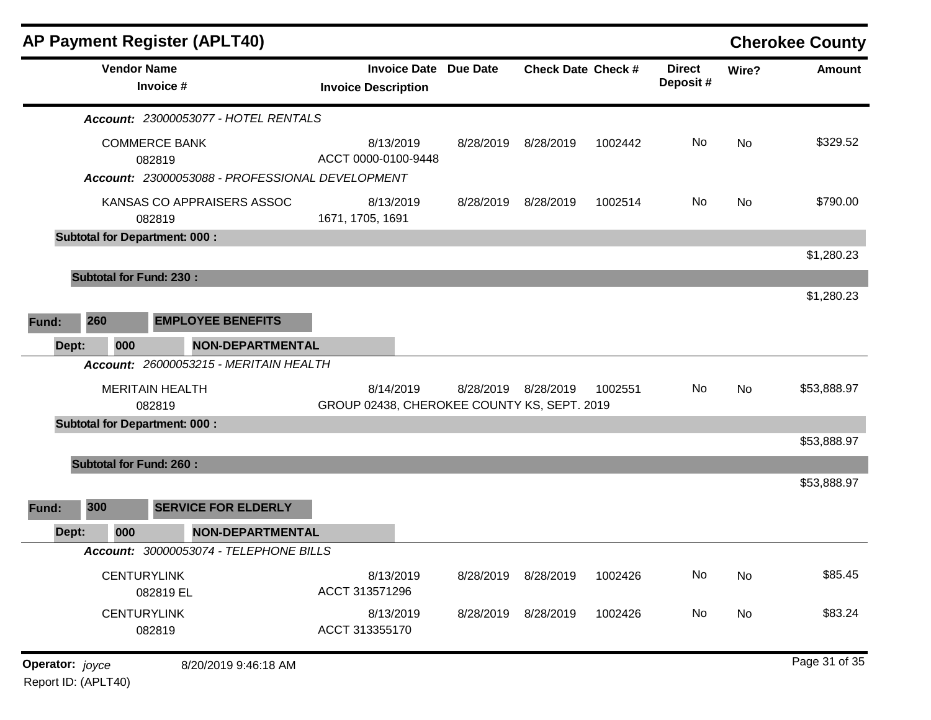|                 |     |                    | <b>AP Payment Register (APLT40)</b>                                                     |                                                          |                              |                     |                           |                           |       | <b>Cherokee County</b> |
|-----------------|-----|--------------------|-----------------------------------------------------------------------------------------|----------------------------------------------------------|------------------------------|---------------------|---------------------------|---------------------------|-------|------------------------|
|                 |     | <b>Vendor Name</b> | Invoice #                                                                               | <b>Invoice Description</b>                               | <b>Invoice Date Due Date</b> |                     | <b>Check Date Check #</b> | <b>Direct</b><br>Deposit# | Wire? | <b>Amount</b>          |
|                 |     |                    | <b>Account: 23000053077 - HOTEL RENTALS</b>                                             |                                                          |                              |                     |                           |                           |       |                        |
|                 |     |                    | <b>COMMERCE BANK</b><br>082819                                                          | 8/13/2019<br>ACCT 0000-0100-9448                         |                              | 8/28/2019 8/28/2019 | 1002442                   | No                        | No    | \$329.52               |
|                 |     |                    | Account: 23000053088 - PROFESSIONAL DEVELOPMENT<br>KANSAS CO APPRAISERS ASSOC<br>082819 | 8/13/2019<br>1671, 1705, 1691                            | 8/28/2019                    | 8/28/2019           | 1002514                   | No                        | No    | \$790.00               |
|                 |     |                    | <b>Subtotal for Department: 000:</b>                                                    |                                                          |                              |                     |                           |                           |       |                        |
|                 |     |                    |                                                                                         |                                                          |                              |                     |                           |                           |       | \$1,280.23             |
|                 |     |                    | <b>Subtotal for Fund: 230:</b>                                                          |                                                          |                              |                     |                           |                           |       | \$1,280.23             |
| Fund:           | 260 |                    | <b>EMPLOYEE BENEFITS</b>                                                                |                                                          |                              |                     |                           |                           |       |                        |
| Dept:           |     | 000                | <b>NON-DEPARTMENTAL</b><br>Account: 26000053215 - MERITAIN HEALTH                       |                                                          |                              |                     |                           |                           |       |                        |
|                 |     |                    | <b>MERITAIN HEALTH</b><br>082819                                                        | 8/14/2019<br>GROUP 02438, CHEROKEE COUNTY KS, SEPT. 2019 |                              | 8/28/2019 8/28/2019 | 1002551                   | <b>No</b>                 | No    | \$53,888.97            |
|                 |     |                    | <b>Subtotal for Department: 000:</b>                                                    |                                                          |                              |                     |                           |                           |       |                        |
|                 |     |                    |                                                                                         |                                                          |                              |                     |                           |                           |       | \$53,888.97            |
|                 |     |                    | <b>Subtotal for Fund: 260:</b>                                                          |                                                          |                              |                     |                           |                           |       |                        |
| Fund:           | 300 |                    | <b>SERVICE FOR ELDERLY</b>                                                              |                                                          |                              |                     |                           |                           |       | \$53,888.97            |
| Dept:           |     | 000                | <b>NON-DEPARTMENTAL</b>                                                                 |                                                          |                              |                     |                           |                           |       |                        |
|                 |     |                    | Account: 30000053074 - TELEPHONE BILLS                                                  |                                                          |                              |                     |                           |                           |       |                        |
|                 |     |                    | <b>CENTURYLINK</b><br>082819 EL                                                         | 8/13/2019<br>ACCT 313571296                              | 8/28/2019                    | 8/28/2019           | 1002426                   | No                        | No    | \$85.45                |
|                 |     |                    | <b>CENTURYLINK</b><br>082819                                                            | 8/13/2019<br>ACCT 313355170                              |                              | 8/28/2019 8/28/2019 | 1002426                   | No                        | No    | \$83.24                |
| Operator: joyce |     |                    | 8/20/2019 9:46:18 AM                                                                    |                                                          |                              |                     |                           |                           |       | Page 31 of 35          |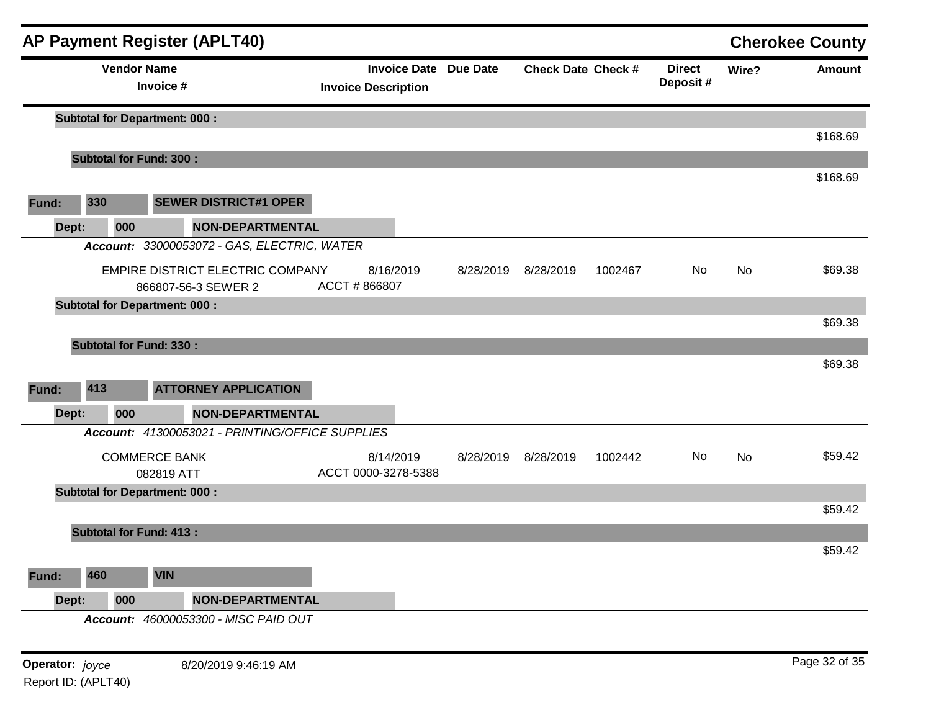|       |       |                                      |            | <b>AP Payment Register (APLT40)</b>                            |                            |           |                              |                           |         |                           |       | <b>Cherokee County</b> |
|-------|-------|--------------------------------------|------------|----------------------------------------------------------------|----------------------------|-----------|------------------------------|---------------------------|---------|---------------------------|-------|------------------------|
|       |       | <b>Vendor Name</b>                   | Invoice #  |                                                                | <b>Invoice Description</b> |           | <b>Invoice Date Due Date</b> | <b>Check Date Check #</b> |         | <b>Direct</b><br>Deposit# | Wire? | Amount                 |
|       |       | <b>Subtotal for Department: 000:</b> |            |                                                                |                            |           |                              |                           |         |                           |       |                        |
|       |       | <b>Subtotal for Fund: 300:</b>       |            |                                                                |                            |           |                              |                           |         |                           |       | \$168.69               |
|       |       |                                      |            |                                                                |                            |           |                              |                           |         |                           |       | \$168.69               |
| Fund: | 330   |                                      |            | <b>SEWER DISTRICT#1 OPER</b>                                   |                            |           |                              |                           |         |                           |       |                        |
|       | Dept: | 000                                  |            | <b>NON-DEPARTMENTAL</b>                                        |                            |           |                              |                           |         |                           |       |                        |
|       |       |                                      |            | Account: 33000053072 - GAS, ELECTRIC, WATER                    |                            |           |                              |                           |         |                           |       |                        |
|       |       |                                      |            | <b>EMPIRE DISTRICT ELECTRIC COMPANY</b><br>866807-56-3 SEWER 2 | ACCT #866807               | 8/16/2019 | 8/28/2019                    | 8/28/2019                 | 1002467 | No                        | No    | \$69.38                |
|       |       | <b>Subtotal for Department: 000:</b> |            |                                                                |                            |           |                              |                           |         |                           |       |                        |
|       |       |                                      |            |                                                                |                            |           |                              |                           |         |                           |       | \$69.38                |
|       |       | <b>Subtotal for Fund: 330:</b>       |            |                                                                |                            |           |                              |                           |         |                           |       |                        |
|       |       |                                      |            |                                                                |                            |           |                              |                           |         |                           |       | \$69.38                |
| Fund: | 413   |                                      |            | <b>ATTORNEY APPLICATION</b>                                    |                            |           |                              |                           |         |                           |       |                        |
|       | Dept: | 000                                  |            | <b>NON-DEPARTMENTAL</b>                                        |                            |           |                              |                           |         |                           |       |                        |
|       |       |                                      |            | Account: 41300053021 - PRINTING/OFFICE SUPPLIES                |                            |           |                              |                           |         |                           |       |                        |
|       |       | <b>COMMERCE BANK</b>                 | 082819 ATT |                                                                | ACCT 0000-3278-5388        | 8/14/2019 | 8/28/2019                    | 8/28/2019                 | 1002442 | No                        | No    | \$59.42                |
|       |       | <b>Subtotal for Department: 000:</b> |            |                                                                |                            |           |                              |                           |         |                           |       | \$59.42                |
|       |       | <b>Subtotal for Fund: 413:</b>       |            |                                                                |                            |           |                              |                           |         |                           |       |                        |
|       |       |                                      |            |                                                                |                            |           |                              |                           |         |                           |       | \$59.42                |
| Fund: | 460   |                                      | <b>VIN</b> |                                                                |                            |           |                              |                           |         |                           |       |                        |
|       | Dept: | 000                                  |            | <b>NON-DEPARTMENTAL</b>                                        |                            |           |                              |                           |         |                           |       |                        |
|       |       |                                      |            | Account: 46000053300 - MISC PAID OUT                           |                            |           |                              |                           |         |                           |       |                        |
|       |       |                                      |            |                                                                |                            |           |                              |                           |         |                           |       |                        |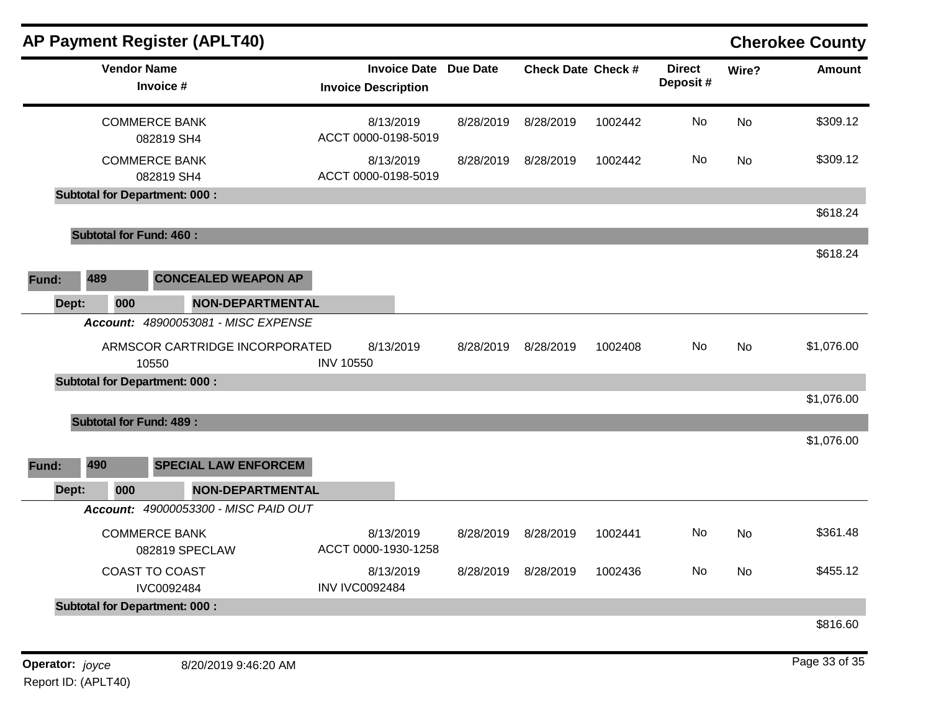|       |                                      | <b>AP Payment Register (APLT40)</b>  |                  |                                                   |           |                           |         |                           |           | <b>Cherokee County</b> |
|-------|--------------------------------------|--------------------------------------|------------------|---------------------------------------------------|-----------|---------------------------|---------|---------------------------|-----------|------------------------|
|       | <b>Vendor Name</b>                   | Invoice #                            |                  | <b>Invoice Date</b><br><b>Invoice Description</b> | Due Date  | <b>Check Date Check #</b> |         | <b>Direct</b><br>Deposit# | Wire?     | <b>Amount</b>          |
|       | <b>COMMERCE BANK</b>                 | 082819 SH4                           |                  | 8/13/2019<br>ACCT 0000-0198-5019                  | 8/28/2019 | 8/28/2019                 | 1002442 | <b>No</b>                 | <b>No</b> | \$309.12               |
|       | <b>COMMERCE BANK</b>                 | 082819 SH4                           |                  | 8/13/2019<br>ACCT 0000-0198-5019                  | 8/28/2019 | 8/28/2019                 | 1002442 | No                        | <b>No</b> | \$309.12               |
|       | <b>Subtotal for Department: 000:</b> |                                      |                  |                                                   |           |                           |         |                           |           |                        |
|       |                                      |                                      |                  |                                                   |           |                           |         |                           |           | \$618.24               |
|       | <b>Subtotal for Fund: 460:</b>       |                                      |                  |                                                   |           |                           |         |                           |           |                        |
|       |                                      |                                      |                  |                                                   |           |                           |         |                           |           | \$618.24               |
| Fund: | 489                                  | <b>CONCEALED WEAPON AP</b>           |                  |                                                   |           |                           |         |                           |           |                        |
| Dept: | 000                                  | <b>NON-DEPARTMENTAL</b>              |                  |                                                   |           |                           |         |                           |           |                        |
|       |                                      | Account: 48900053081 - MISC EXPENSE  |                  |                                                   |           |                           |         |                           |           |                        |
|       | 10550                                | ARMSCOR CARTRIDGE INCORPORATED       | <b>INV 10550</b> | 8/13/2019                                         | 8/28/2019 | 8/28/2019                 | 1002408 | No                        | No        | \$1,076.00             |
|       | <b>Subtotal for Department: 000:</b> |                                      |                  |                                                   |           |                           |         |                           |           |                        |
|       |                                      |                                      |                  |                                                   |           |                           |         |                           |           | \$1,076.00             |
|       | <b>Subtotal for Fund: 489:</b>       |                                      |                  |                                                   |           |                           |         |                           |           |                        |
|       |                                      |                                      |                  |                                                   |           |                           |         |                           |           | \$1,076.00             |
| Fund: | 490                                  | <b>SPECIAL LAW ENFORCEM</b>          |                  |                                                   |           |                           |         |                           |           |                        |
| Dept: | 000                                  | <b>NON-DEPARTMENTAL</b>              |                  |                                                   |           |                           |         |                           |           |                        |
|       |                                      | Account: 49000053300 - MISC PAID OUT |                  |                                                   |           |                           |         |                           |           |                        |
|       | <b>COMMERCE BANK</b>                 | 082819 SPECLAW                       |                  | 8/13/2019<br>ACCT 0000-1930-1258                  | 8/28/2019 | 8/28/2019                 | 1002441 | No.                       | <b>No</b> | \$361.48               |
|       | <b>COAST TO COAST</b>                | IVC0092484                           |                  | 8/13/2019<br><b>INV IVC0092484</b>                | 8/28/2019 | 8/28/2019                 | 1002436 | No                        | <b>No</b> | \$455.12               |
|       | <b>Subtotal for Department: 000:</b> |                                      |                  |                                                   |           |                           |         |                           |           |                        |
|       |                                      |                                      |                  |                                                   |           |                           |         |                           |           | \$816.60               |
|       |                                      |                                      |                  |                                                   |           |                           |         |                           |           |                        |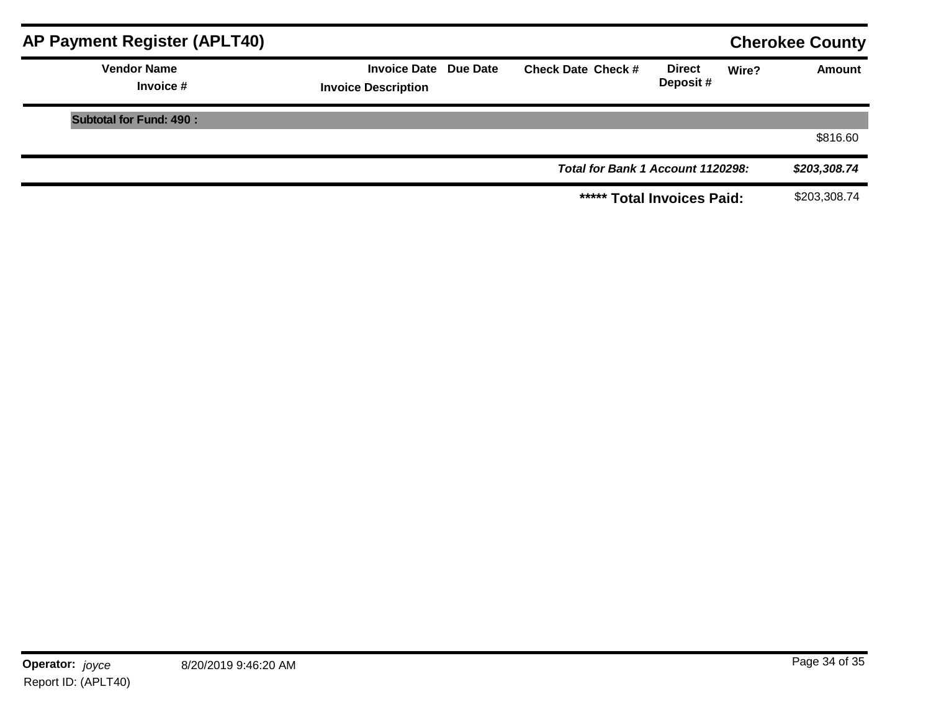| <b>AP Payment Register (APLT40)</b> |                                                            |                                   |                           |       | <b>Cherokee County</b> |
|-------------------------------------|------------------------------------------------------------|-----------------------------------|---------------------------|-------|------------------------|
| <b>Vendor Name</b><br>Invoice #     | <b>Invoice Date Due Date</b><br><b>Invoice Description</b> | <b>Check Date Check #</b>         | <b>Direct</b><br>Deposit# | Wire? | <b>Amount</b>          |
| <b>Subtotal for Fund: 490:</b>      |                                                            |                                   |                           |       |                        |
|                                     |                                                            |                                   |                           |       | \$816.60               |
|                                     |                                                            | Total for Bank 1 Account 1120298: |                           |       | \$203,308.74           |
|                                     |                                                            | ***** Total Invoices Paid:        |                           |       | \$203,308.74           |